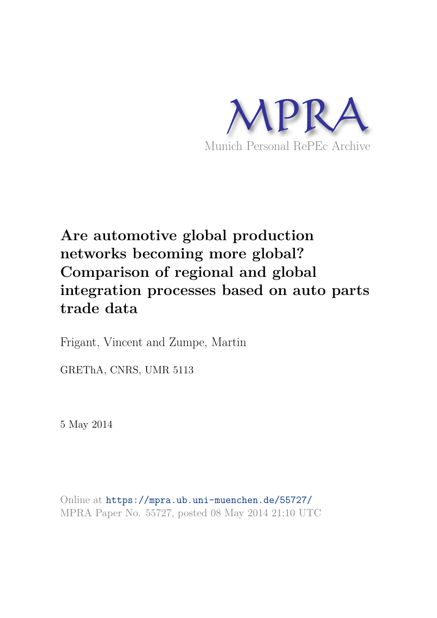

# **Are automotive global production networks becoming more global? Comparison of regional and global integration processes based on auto parts trade data**

Frigant, Vincent and Zumpe, Martin

GREThA, CNRS, UMR 5113

5 May 2014

Online at https://mpra.ub.uni-muenchen.de/55727/ MPRA Paper No. 55727, posted 08 May 2014 21:10 UTC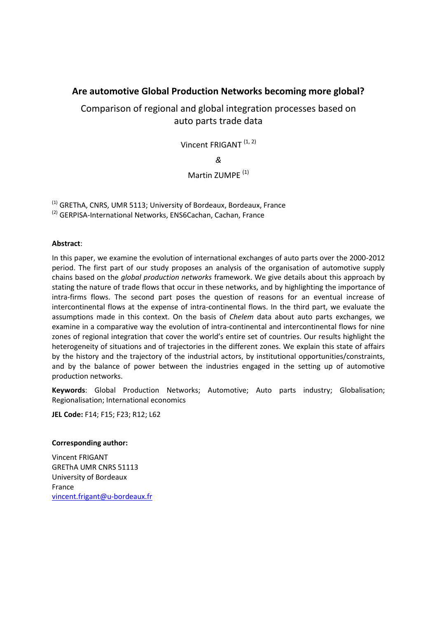# **Are automotive Global Production Networks becoming more global?**

Comparison of regional and global integration processes based on auto parts trade data

Vincent FRIGANT<sup>(1, 2)</sup>

*&* 

# Martin ZUMPF<sup>(1)</sup>

(1) GREThA, CNRS, UMR 5113; University of Bordeaux, Bordeaux, France

(2) GERPISA-International Networks, ENS6Cachan, Cachan, France

### **Abstract**:

In this paper, we examine the evolution of international exchanges of auto parts over the 2000-2012 period. The first part of our study proposes an analysis of the organisation of automotive supply chains based on the *global production networks* framework. We give details about this approach by stating the nature of trade flows that occur in these networks, and by highlighting the importance of intra-firms flows. The second part poses the question of reasons for an eventual increase of intercontinental flows at the expense of intra-continental flows. In the third part, we evaluate the assumptions made in this context. On the basis of *Chelem* data about auto parts exchanges, we examine in a comparative way the evolution of intra-continental and intercontinental flows for nine zones of regional integration that cover the world's entire set of countries. Our results highlight the heterogeneity of situations and of trajectories in the different zones. We explain this state of affairs by the history and the trajectory of the industrial actors, by institutional opportunities/constraints, and by the balance of power between the industries engaged in the setting up of automotive production networks.

**Keywords**: Global Production Networks; Automotive; Auto parts industry; Globalisation; Regionalisation; International economics

**JEL Code:** F14; F15; F23; R12; L62

### **Corresponding author:**

Vincent FRIGANT GREThA UMR CNRS 51113 University of Bordeaux France [vincent.frigant@u-bordeaux.fr](mailto:vincent.frigant@u-bordeaux.fr)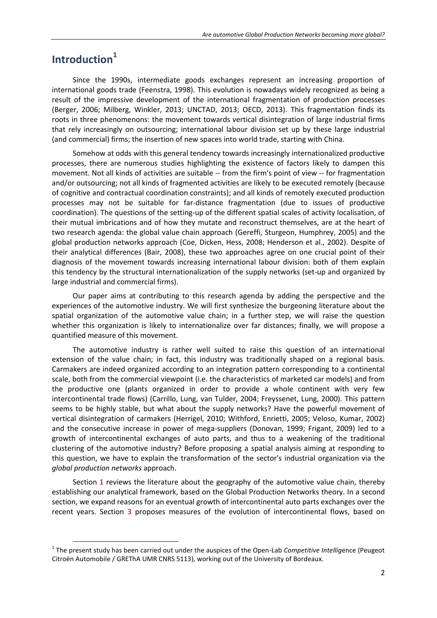# **Introduction<sup>1</sup>**

 $\overline{a}$ 

Since the 1990s, intermediate goods exchanges represent an increasing proportion of international goods trade (Feenstra, 1998). This evolution is nowadays widely recognized as being a result of the impressive development of the international fragmentation of production processes (Berger, 2006; Milberg, Winkler, 2013; UNCTAD, 2013; OECD, 2013). This fragmentation finds its roots in three phenomenons: the movement towards vertical disintegration of large industrial firms that rely increasingly on outsourcing; international labour division set up by these large industrial (and commercial) firms; the insertion of new spaces into world trade, starting with China.

Somehow at odds with this general tendency towards increasingly internationalized productive processes, there are numerous studies highlighting the existence of factors likely to dampen this movement. Not all kinds of activities are suitable -- from the firm's point of view -- for fragmentation and/or outsourcing; not all kinds of fragmented activities are likely to be executed remotely (because of cognitive and contractual coordination constraints); and all kinds of remotely executed production processes may not be suitable for far-distance fragmentation (due to issues of productive coordination). The questions of the setting-up of the different spatial scales of activity localisation, of their mutual imbrications and of how they mutate and reconstruct themselves, are at the heart of two research agenda: the global value chain approach (Gereffi, Sturgeon, Humphrey, 2005) and the global production networks approach (Coe, Dicken, Hess, 2008; Henderson et al., 2002). Despite of their analytical differences (Bair, 2008), these two approaches agree on one crucial point of their diagnosis of the movement towards increasing international labour division: both of them explain this tendency by the structural internationalization of the supply networks (set-up and organized by large industrial and commercial firms).

Our paper aims at contributing to this research agenda by adding the perspective and the experiences of the automotive industry. We will first synthesize the burgeoning literature about the spatial organization of the automotive value chain; in a further step, we will raise the question whether this organization is likely to internationalize over far distances; finally, we will propose a quantified measure of this movement.

The automotive industry is rather well suited to raise this question of an international extension of the value chain; in fact, this industry was traditionally shaped on a regional basis. Carmakers are indeed organized according to an integration pattern corresponding to a continental scale, both from the commercial viewpoint (i.e. the characteristics of marketed car models) and from the productive one (plants organized in order to provide a whole continent with very few intercontinental trade flows) (Carrillo, Lung, van Tulder, 2004; Freyssenet, Lung, 2000). This pattern seems to be highly stable, but what about the supply networks? Have the powerful movement of vertical disintegration of carmakers (Herrigel, 2010; Withford, Enrietti, 2005; Veloso, Kumar, 2002) and the consecutive increase in power of mega-suppliers (Donovan, 1999; Frigant, 2009) led to a growth of intercontinental exchanges of auto parts, and thus to a weakening of the traditional clustering of the automotive industry? Before proposing a spatial analysis aiming at responding to this question, we have to explain the transformation of the sector's industrial organization via the *global production networks* approach.

Section 1 reviews the literature about the geography of the automotive value chain, thereby establishing our analytical framework, based on the Global Production Networks theory. In a second section, we expand reasons for an eventual growth of intercontinental auto parts exchanges over the recent years. Section 3 proposes measures of the evolution of intercontinental flows, based on

<sup>&</sup>lt;sup>1</sup> The present study has been carried out under the auspices of the Open-Lab *Competitive Intelligence* (Peugeot Citroën Automobile / GREThA UMR CNRS 5113), working out of the University of Bordeaux.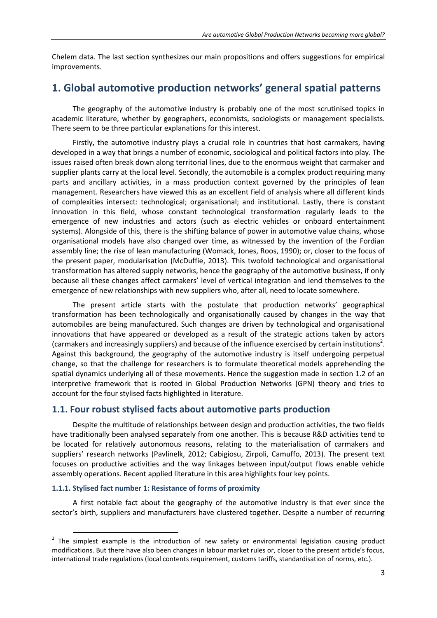Chelem data. The last section synthesizes our main propositions and offers suggestions for empirical improvements.

# **1. Global automotive production networks' general spatial patterns**

The geography of the automotive industry is probably one of the most scrutinised topics in academic literature, whether by geographers, economists, sociologists or management specialists. There seem to be three particular explanations for this interest.

Firstly, the automotive industry plays a crucial role in countries that host carmakers, having developed in a way that brings a number of economic, sociological and political factors into play. The issues raised often break down along territorial lines, due to the enormous weight that carmaker and supplier plants carry at the local level. Secondly, the automobile is a complex product requiring many parts and ancillary activities, in a mass production context governed by the principles of lean management. Researchers have viewed this as an excellent field of analysis where all different kinds of complexities intersect: technological; organisational; and institutional. Lastly, there is constant innovation in this field, whose constant technological transformation regularly leads to the emergence of new industries and actors (such as electric vehicles or onboard entertainment systems). Alongside of this, there is the shifting balance of power in automotive value chains, whose organisational models have also changed over time, as witnessed by the invention of the Fordian assembly line; the rise of lean manufacturing (Womack, Jones, Roos, 1990); or, closer to the focus of the present paper, modularisation (McDuffie, 2013). This twofold technological and organisational transformation has altered supply networks, hence the geography of the automotive business, if only because all these changes affect carmakers' level of vertical integration and lend themselves to the emergence of new relationships with new suppliers who, after all, need to locate somewhere.

The present article starts with the postulate that production networks' geographical transformation has been technologically and organisationally caused by changes in the way that automobiles are being manufactured. Such changes are driven by technological and organisational innovations that have appeared or developed as a result of the strategic actions taken by actors (carmakers and increasingly suppliers) and because of the influence exercised by certain institutions<sup>2</sup>. Against this background, the geography of the automotive industry is itself undergoing perpetual change, so that the challenge for researchers is to formulate theoretical models apprehending the spatial dynamics underlying all of these movements. Hence the suggestion made in section 1.2 of an interpretive framework that is rooted in Global Production Networks (GPN) theory and tries to account for the four stylised facts highlighted in literature.

## **1.1. Four robust stylised facts about automotive parts production**

Despite the multitude of relationships between design and production activities, the two fields have traditionally been analysed separately from one another. This is because R&D activities tend to be located for relatively autonomous reasons, relating to the materialisation of carmakers and suppliers' research networks (Pavlinelk, 2012; Cabigiosu, Zirpoli, Camuffo, 2013). The present text focuses on productive activities and the way linkages between input/output flows enable vehicle assembly operations. Recent applied literature in this area highlights four key points.

#### **1.1.1. Stylised fact number 1: Resistance of forms of proximity**

l

A first notable fact about the geography of the automotive industry is that ever since the sector's birth, suppliers and manufacturers have clustered together. Despite a number of recurring

 $2$  The simplest example is the introduction of new safety or environmental legislation causing product modifications. But there have also been changes in labour market rules or, closer to the present article's focus, international trade regulations (local contents requirement, customs tariffs, standardisation of norms, etc.).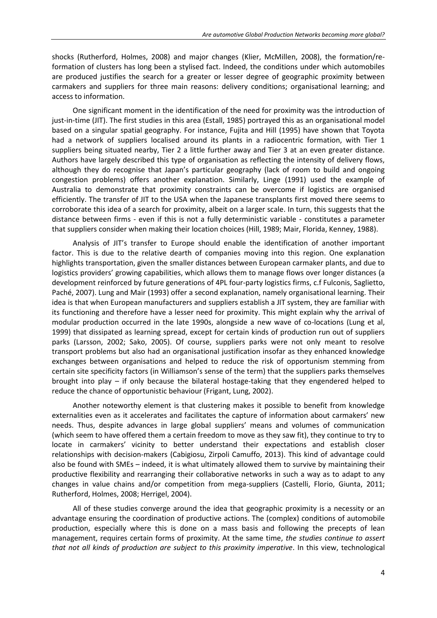shocks (Rutherford, Holmes, 2008) and major changes (Klier, McMillen, 2008), the formation/reformation of clusters has long been a stylised fact. Indeed, the conditions under which automobiles are produced justifies the search for a greater or lesser degree of geographic proximity between carmakers and suppliers for three main reasons: delivery conditions; organisational learning; and access to information.

One significant moment in the identification of the need for proximity was the introduction of just-in-time (JIT). The first studies in this area (Estall, 1985) portrayed this as an organisational model based on a singular spatial geography. For instance, Fujita and Hill (1995) have shown that Toyota had a network of suppliers localised around its plants in a radiocentric formation, with Tier 1 suppliers being situated nearby, Tier 2 a little further away and Tier 3 at an even greater distance. Authors have largely described this type of organisation as reflecting the intensity of delivery flows, although they do recognise that Japan's particular geography (lack of room to build and ongoing congestion problems) offers another explanation. Similarly, Linge (1991) used the example of Australia to demonstrate that proximity constraints can be overcome if logistics are organised efficiently. The transfer of JIT to the USA when the Japanese transplants first moved there seems to corroborate this idea of a search for proximity, albeit on a larger scale. In turn, this suggests that the distance between firms - even if this is not a fully deterministic variable - constitutes a parameter that suppliers consider when making their location choices (Hill, 1989; Mair, Florida, Kenney, 1988).

Analysis of JIT's transfer to Europe should enable the identification of another important factor. This is due to the relative dearth of companies moving into this region. One explanation highlights transportation, given the smaller distances between European carmaker plants, and due to logistics providers' growing capabilities, which allows them to manage flows over longer distances (a development reinforced by future generations of 4PL four-party logistics firms, c.f Fulconis, Saglietto, Paché, 2007). Lung and Mair (1993) offer a second explanation, namely organisational learning. Their idea is that when European manufacturers and suppliers establish a JIT system, they are familiar with its functioning and therefore have a lesser need for proximity. This might explain why the arrival of modular production occurred in the late 1990s, alongside a new wave of co-locations (Lung et al, 1999) that dissipated as learning spread, except for certain kinds of production run out of suppliers parks (Larsson, 2002; Sako, 2005). Of course, suppliers parks were not only meant to resolve transport problems but also had an organisational justification insofar as they enhanced knowledge exchanges between organisations and helped to reduce the risk of opportunism stemming from certain site specificity factors (in Williamson's sense of the term) that the suppliers parks themselves brought into play – if only because the bilateral hostage-taking that they engendered helped to reduce the chance of opportunistic behaviour (Frigant, Lung, 2002).

Another noteworthy element is that clustering makes it possible to benefit from knowledge externalities even as it accelerates and facilitates the capture of information about carmakers' new needs. Thus, despite advances in large global suppliers' means and volumes of communication (which seem to have offered them a certain freedom to move as they saw fit), they continue to try to locate in carmakers' vicinity to better understand their expectations and establish closer relationships with decision-makers (Cabigiosu, Zirpoli Camuffo, 2013). This kind of advantage could also be found with SMEs – indeed, it is what ultimately allowed them to survive by maintaining their productive flexibility and rearranging their collaborative networks in such a way as to adapt to any changes in value chains and/or competition from mega-suppliers (Castelli, Florio, Giunta, 2011; Rutherford, Holmes, 2008; Herrigel, 2004).

All of these studies converge around the idea that geographic proximity is a necessity or an advantage ensuring the coordination of productive actions. The (complex) conditions of automobile production, especially where this is done on a mass basis and following the precepts of lean management, requires certain forms of proximity. At the same time, *the studies continue to assert that not all kinds of production are subject to this proximity imperative*. In this view, technological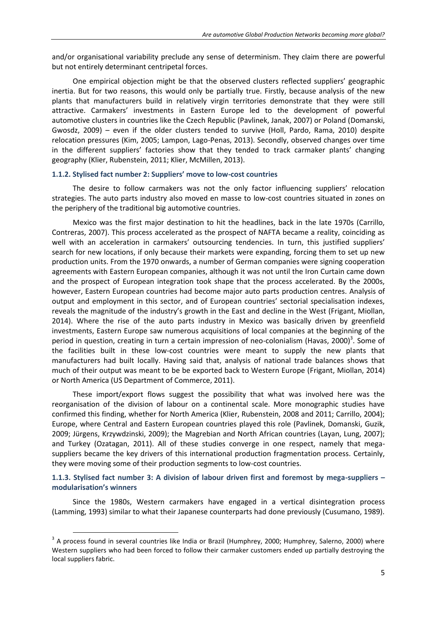and/or organisational variability preclude any sense of determinism. They claim there are powerful but not entirely determinant centripetal forces.

One empirical objection might be that the observed clusters reflected suppliers' geographic inertia. But for two reasons, this would only be partially true. Firstly, because analysis of the new plants that manufacturers build in relatively virgin territories demonstrate that they were still attractive. Carmakers' investments in Eastern Europe led to the development of powerful automotive clusters in countries like the Czech Republic (Pavlinek, Janak, 2007) or Poland (Domanski, Gwosdz, 2009) – even if the older clusters tended to survive (Holl, Pardo, Rama, 2010) despite relocation pressures (Kim, 2005; Lampon, Lago-Penas, 2013). Secondly, observed changes over time in the different suppliers' factories show that they tended to track carmaker plants' changing geography (Klier, Rubenstein, 2011; Klier, McMillen, 2013).

### **1.1.2. Stylised fact number 2: Suppliers' move to low-cost countries**

The desire to follow carmakers was not the only factor influencing suppliers' relocation strategies. The auto parts industry also moved en masse to low-cost countries situated in zones on the periphery of the traditional big automotive countries.

Mexico was the first major destination to hit the headlines, back in the late 1970s (Carrillo, Contreras, 2007). This process accelerated as the prospect of NAFTA became a reality, coinciding as well with an acceleration in carmakers' outsourcing tendencies. In turn, this justified suppliers' search for new locations, if only because their markets were expanding, forcing them to set up new production units. From the 1970 onwards, a number of German companies were signing cooperation agreements with Eastern European companies, although it was not until the Iron Curtain came down and the prospect of European integration took shape that the process accelerated. By the 2000s, however, Eastern European countries had become major auto parts production centres. Analysis of output and employment in this sector, and of European countries' sectorial specialisation indexes, reveals the magnitude of the industry's growth in the East and decline in the West (Frigant, Miollan, 2014). Where the rise of the auto parts industry in Mexico was basically driven by greenfield investments, Eastern Europe saw numerous acquisitions of local companies at the beginning of the period in question, creating in turn a certain impression of neo-colonialism (Havas, 2000)<sup>3</sup>. Some of the facilities built in these low-cost countries were meant to supply the new plants that manufacturers had built locally. Having said that, analysis of national trade balances shows that much of their output was meant to be be exported back to Western Europe (Frigant, Miollan, 2014) or North America (US Department of Commerce, 2011).

These import/export flows suggest the possibility that what was involved here was the reorganisation of the division of labour on a continental scale. More monographic studies have confirmed this finding, whether for North America (Klier, Rubenstein, 2008 and 2011; Carrillo, 2004); Europe, where Central and Eastern European countries played this role (Pavlinek, Domanski, Guzik, 2009; Jürgens, Krzywdzinski, 2009); the Magrebian and North African countries (Layan, Lung, 2007); and Turkey (Ozatagan, 2011). All of these studies converge in one respect, namely that megasuppliers became the key drivers of this international production fragmentation process. Certainly, they were moving some of their production segments to low-cost countries.

**1.1.3. Stylised fact number 3: A division of labour driven first and foremost by mega-suppliers – modularisation's winners** 

Since the 1980s, Western carmakers have engaged in a vertical disintegration process (Lamming, 1993) similar to what their Japanese counterparts had done previously (Cusumano, 1989).

 $3$  A process found in several countries like India or Brazil (Humphrey, 2000; Humphrey, Salerno, 2000) where Western suppliers who had been forced to follow their carmaker customers ended up partially destroying the local suppliers fabric.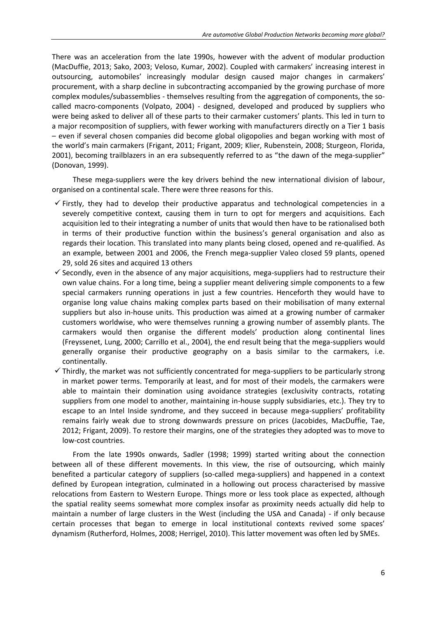There was an acceleration from the late 1990s, however with the advent of modular production (MacDuffie, 2013; Sako, 2003; Veloso, Kumar, 2002). Coupled with carmakers' increasing interest in outsourcing, automobiles' increasingly modular design caused major changes in carmakers' procurement, with a sharp decline in subcontracting accompanied by the growing purchase of more complex modules/subassemblies - themselves resulting from the aggregation of components, the socalled macro-components (Volpato, 2004) - designed, developed and produced by suppliers who were being asked to deliver all of these parts to their carmaker customers' plants. This led in turn to a major recomposition of suppliers, with fewer working with manufacturers directly on a Tier 1 basis – even if several chosen companies did become global oligopolies and began working with most of the world's main carmakers (Frigant, 2011; Frigant, 2009; Klier, Rubenstein, 2008; Sturgeon, Florida, 2001), becoming trailblazers in an era subsequently referred to as "the dawn of the mega-supplier" (Donovan, 1999).

These mega-suppliers were the key drivers behind the new international division of labour, organised on a continental scale. There were three reasons for this.

- $\checkmark$  Firstly, they had to develop their productive apparatus and technological competencies in a severely competitive context, causing them in turn to opt for mergers and acquisitions. Each acquisition led to their integrating a number of units that would then have to be rationalised both in terms of their productive function within the business's general organisation and also as regards their location. This translated into many plants being closed, opened and re-qualified. As an example, between 2001 and 2006, the French mega-supplier Valeo closed 59 plants, opened 29, sold 26 sites and acquired 13 others
- $\checkmark$  Secondly, even in the absence of any major acquisitions, mega-suppliers had to restructure their own value chains. For a long time, being a supplier meant delivering simple components to a few special carmakers running operations in just a few countries. Henceforth they would have to organise long value chains making complex parts based on their mobilisation of many external suppliers but also in-house units. This production was aimed at a growing number of carmaker customers worldwise, who were themselves running a growing number of assembly plants. The carmakers would then organise the different models' production along continental lines (Freyssenet, Lung, 2000; Carrillo et al., 2004), the end result being that the mega-suppliers would generally organise their productive geography on a basis similar to the carmakers, i.e. continentally.
- $\checkmark$  Thirdly, the market was not sufficiently concentrated for mega-suppliers to be particularly strong in market power terms. Temporarily at least, and for most of their models, the carmakers were able to maintain their domination using avoidance strategies (exclusivity contracts, rotating suppliers from one model to another, maintaining in-house supply subsidiaries, etc.). They try to escape to an Intel Inside syndrome, and they succeed in because mega-suppliers' profitability remains fairly weak due to strong downwards pressure on prices (Jacobides, MacDuffie, Tae, 2012; Frigant, 2009). To restore their margins, one of the strategies they adopted was to move to low-cost countries.

From the late 1990s onwards, Sadler (1998; 1999) started writing about the connection between all of these different movements. In this view, the rise of outsourcing, which mainly benefited a particular category of suppliers (so-called mega-suppliers) and happened in a context defined by European integration, culminated in a hollowing out process characterised by massive relocations from Eastern to Western Europe. Things more or less took place as expected, although the spatial reality seems somewhat more complex insofar as proximity needs actually did help to maintain a number of large clusters in the West (including the USA and Canada) - if only because certain processes that began to emerge in local institutional contexts revived some spaces' dynamism (Rutherford, Holmes, 2008; Herrigel, 2010). This latter movement was often led by SMEs.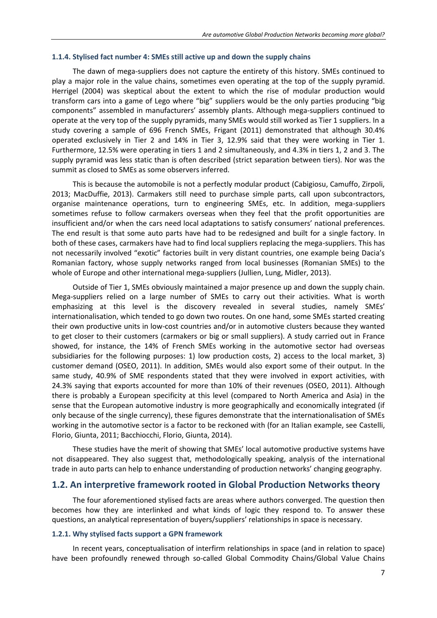#### **1.1.4. Stylised fact number 4: SMEs still active up and down the supply chains**

The dawn of mega-suppliers does not capture the entirety of this history. SMEs continued to play a major role in the value chains, sometimes even operating at the top of the supply pyramid. Herrigel (2004) was skeptical about the extent to which the rise of modular production would transform cars into a game of Lego where "big" suppliers would be the only parties producing "big components" assembled in manufacturers' assembly plants. Although mega-suppliers continued to operate at the very top of the supply pyramids, many SMEs would still worked as Tier 1 suppliers. In a study covering a sample of 696 French SMEs, Frigant (2011) demonstrated that although 30.4% operated exclusively in Tier 2 and 14% in Tier 3, 12.9% said that they were working in Tier 1. Furthermore, 12.5% were operating in tiers 1 and 2 simultaneously, and 4.3% in tiers 1, 2 and 3. The supply pyramid was less static than is often described (strict separation between tiers). Nor was the summit as closed to SMEs as some observers inferred.

This is because the automobile is not a perfectly modular product (Cabigiosu, Camuffo, Zirpoli, 2013; MacDuffie, 2013). Carmakers still need to purchase simple parts, call upon subcontractors, organise maintenance operations, turn to engineering SMEs, etc. In addition, mega-suppliers sometimes refuse to follow carmakers overseas when they feel that the profit opportunities are insufficient and/or when the cars need local adaptations to satisfy consumers' national preferences. The end result is that some auto parts have had to be redesigned and built for a single factory. In both of these cases, carmakers have had to find local suppliers replacing the mega-suppliers. This has not necessarily involved "exotic" factories built in very distant countries, one example being Dacia's Romanian factory, whose supply networks ranged from local businesses (Romanian SMEs) to the whole of Europe and other international mega-suppliers (Jullien, Lung, Midler, 2013).

Outside of Tier 1, SMEs obviously maintained a major presence up and down the supply chain. Mega-suppliers relied on a large number of SMEs to carry out their activities. What is worth emphasizing at this level is the discovery revealed in several studies, namely SMEs' internationalisation, which tended to go down two routes. On one hand, some SMEs started creating their own productive units in low-cost countries and/or in automotive clusters because they wanted to get closer to their customers (carmakers or big or small suppliers). A study carried out in France showed, for instance, the 14% of French SMEs working in the automotive sector had overseas subsidiaries for the following purposes: 1) low production costs, 2) access to the local market, 3) customer demand (OSEO, 2011). In addition, SMEs would also export some of their output. In the same study, 40.9% of SME respondents stated that they were involved in export activities, with 24.3% saying that exports accounted for more than 10% of their revenues (OSEO, 2011). Although there is probably a European specificity at this level (compared to North America and Asia) in the sense that the European automotive industry is more geographically and economically integrated (if only because of the single currency), these figures demonstrate that the internationalisation of SMEs working in the automotive sector is a factor to be reckoned with (for an Italian example, see Castelli, Florio, Giunta, 2011; Bacchiocchi, Florio, Giunta, 2014).

These studies have the merit of showing that SMEs' local automotive productive systems have not disappeared. They also suggest that, methodologically speaking, analysis of the international trade in auto parts can help to enhance understanding of production networks' changing geography.

### **1.2. An interpretive framework rooted in Global Production Networks theory**

The four aforementioned stylised facts are areas where authors converged. The question then becomes how they are interlinked and what kinds of logic they respond to. To answer these questions, an analytical representation of buyers/suppliers' relationships in space is necessary.

#### **1.2.1. Why stylised facts support a GPN framework**

In recent years, conceptualisation of interfirm relationships in space (and in relation to space) have been profoundly renewed through so-called Global Commodity Chains/Global Value Chains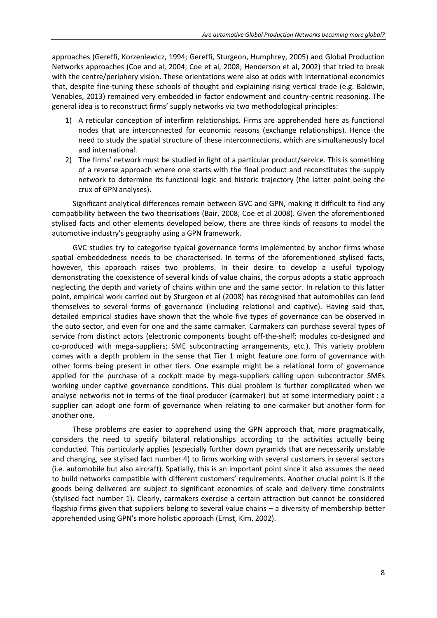approaches (Gereffi, Korzeniewicz, 1994; Gereffi, Sturgeon, Humphrey, 2005) and Global Production Networks approaches (Coe and al, 2004; Coe et al, 2008; Henderson et al, 2002) that tried to break with the centre/periphery vision. These orientations were also at odds with international economics that, despite fine-tuning these schools of thought and explaining rising vertical trade (e.g. Baldwin, Venables, 2013) remained very embedded in factor endowment and country-centric reasoning. The general idea is to reconstruct firms' supply networks via two methodological principles:

- 1) A reticular conception of interfirm relationships. Firms are apprehended here as functional nodes that are interconnected for economic reasons (exchange relationships). Hence the need to study the spatial structure of these interconnections, which are simultaneously local and international.
- 2) The firms' network must be studied in light of a particular product/service. This is something of a reverse approach where one starts with the final product and reconstitutes the supply network to determine its functional logic and historic trajectory (the latter point being the crux of GPN analyses).

Significant analytical differences remain between GVC and GPN, making it difficult to find any compatibility between the two theorisations (Bair, 2008; Coe et al 2008). Given the aforementioned stylised facts and other elements developed below, there are three kinds of reasons to model the automotive industry's geography using a GPN framework.

GVC studies try to categorise typical governance forms implemented by anchor firms whose spatial embeddedness needs to be characterised. In terms of the aforementioned stylised facts, however, this approach raises two problems. In their desire to develop a useful typology demonstrating the coexistence of several kinds of value chains, the corpus adopts a static approach neglecting the depth and variety of chains within one and the same sector. In relation to this latter point, empirical work carried out by Sturgeon et al (2008) has recognised that automobiles can lend themselves to several forms of governance (including relational and captive). Having said that, detailed empirical studies have shown that the whole five types of governance can be observed in the auto sector, and even for one and the same carmaker. Carmakers can purchase several types of service from distinct actors (electronic components bought off-the-shelf; modules co-designed and co-produced with mega-suppliers; SME subcontracting arrangements, etc.). This variety problem comes with a depth problem in the sense that Tier 1 might feature one form of governance with other forms being present in other tiers. One example might be a relational form of governance applied for the purchase of a cockpit made by mega-suppliers calling upon subcontractor SMEs working under captive governance conditions. This dual problem is further complicated when we analyse networks not in terms of the final producer (carmaker) but at some intermediary point : a supplier can adopt one form of governance when relating to one carmaker but another form for another one.

These problems are easier to apprehend using the GPN approach that, more pragmatically, considers the need to specify bilateral relationships according to the activities actually being conducted. This particularly applies (especially further down pyramids that are necessarily unstable and changing, see stylised fact number 4) to firms working with several customers in several sectors (i.e. automobile but also aircraft). Spatially, this is an important point since it also assumes the need to build networks compatible with different customers' requirements. Another crucial point is if the goods being delivered are subject to significant economies of scale and delivery time constraints (stylised fact number 1). Clearly, carmakers exercise a certain attraction but cannot be considered flagship firms given that suppliers belong to several value chains – a diversity of membership better apprehended using GPN's more holistic approach (Ernst, Kim, 2002).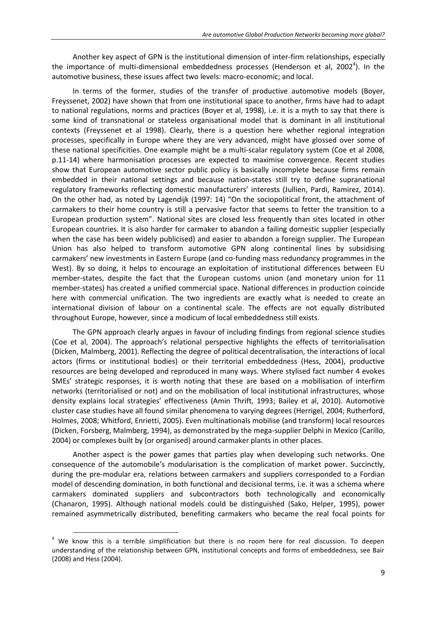Another key aspect of GPN is the institutional dimension of inter-firm relationships, especially the importance of multi-dimensional embeddedness processes (Henderson et al, 2002<sup>4</sup>). In the automotive business, these issues affect two levels: macro-economic; and local.

In terms of the former, studies of the transfer of productive automotive models (Boyer, Freyssenet, 2002) have shown that from one institutional space to another, firms have had to adapt to national regulations, norms and practices (Boyer et al, 1998), i.e. it is a myth to say that there is some kind of transnational or stateless organisational model that is dominant in all institutional contexts (Freyssenet et al 1998). Clearly, there is a question here whether regional integration processes, specifically in Europe where they are very advanced, might have glossed over some of these national specificities. One example might be a multi-scalar regulatory system (Coe et al 2008, p.11-14) where harmonisation processes are expected to maximise convergence. Recent studies show that European automotive sector public policy is basically incomplete because firms remain embedded in their national settings and because nation-states still try to define supranational regulatory frameworks reflecting domestic manufacturers' interests (Jullien, Pardi, Ramirez, 2014). On the other had, as noted by Lagendijk (1997: 14) "On the sociopolitical front, the attachment of carmakers to their home country is still a pervasive factor that seems to fetter the transition to a European production system". National sites are closed less frequently than sites located in other European countries. It is also harder for carmaker to abandon a failing domestic supplier (especially when the case has been widely publicised) and easier to abandon a foreign supplier. The European Union has also helped to transform automotive GPN along continental lines by subsidising carmakers' new investments in Eastern Europe (and co-funding mass redundancy programmes in the West). By so doing, it helps to encourage an exploitation of institutional differences between EU member-states, despite the fact that the European customs union (and monetary union for 11 member-states) has created a unified commercial space. National differences in production coincide here with commercial unification. The two ingredients are exactly what is needed to create an international division of labour on a continental scale. The effects are not equally distributed throughout Europe, however, since a modicum of local embeddedness still exists.

The GPN approach clearly argues in favour of including findings from regional science studies (Coe et al, 2004). The approach's relational perspective highlights the effects of territorialisation (Dicken, Malmberg, 2001). Reflecting the degree of political decentralisation, the interactions of local actors (firms or institutional bodies) or their territorial embeddedness (Hess, 2004), productive resources are being developed and reproduced in many ways. Where stylised fact number 4 evokes SMEs' strategic responses, it is worth noting that these are based on a mobilisation of interfirm networks (territorialised or not) and on the mobilisation of local institutional infrastructures, whose density explains local strategies' effectiveness (Amin Thrift, 1993; Bailey et al, 2010). Automotive cluster case studies have all found similar phenomena to varying degrees (Herrigel, 2004; Rutherford, Holmes, 2008; Whitford, Enrietti, 2005). Even multinationals mobilise (and transform) local resources (Dicken, Forsberg, Malmberg, 1994), as demonstrated by the mega-supplier Delphi in Mexico (Carillo, 2004) or complexes built by (or organised) around carmaker plants in other places.

Another aspect is the power games that parties play when developing such networks. One consequence of the automobile's modularisation is the complication of market power. Succinctly, during the pre-modular era, relations between carmakers and suppliers corresponded to a Fordian model of descending domination, in both functional and decisional terms, i.e. it was a schema where carmakers dominated suppliers and subcontractors both technologically and economically (Chanaron, 1995). Although national models could be distinguished (Sako, Helper, 1995), power remained asymmetrically distributed, benefiting carmakers who became the real focal points for

 $4$  We know this is a terrible simplificiation but there is no room here for real discussion. To deepen understanding of the relationship between GPN, institutional concepts and forms of embeddedness, see Bair (2008) and Hess (2004).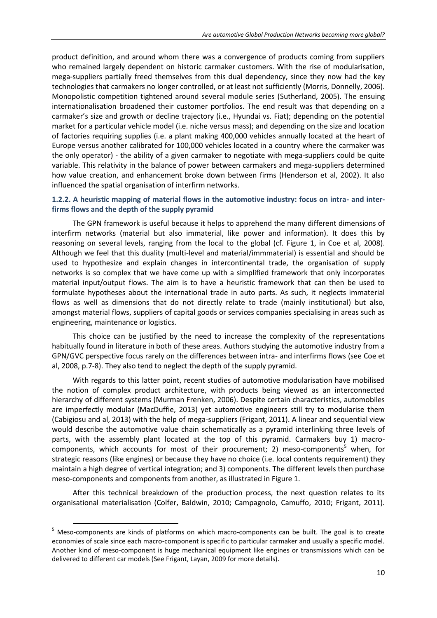product definition, and around whom there was a convergence of products coming from suppliers who remained largely dependent on historic carmaker customers. With the rise of modularisation, mega-suppliers partially freed themselves from this dual dependency, since they now had the key technologies that carmakers no longer controlled, or at least not sufficiently (Morris, Donnelly, 2006). Monopolistic competition tightened around several module series (Sutherland, 2005). The ensuing internationalisation broadened their customer portfolios. The end result was that depending on a carmaker's size and growth or decline trajectory (i.e., Hyundai vs. Fiat); depending on the potential market for a particular vehicle model (i.e. niche versus mass); and depending on the size and location of factories requiring supplies (i.e. a plant making 400,000 vehicles annually located at the heart of Europe versus another calibrated for 100,000 vehicles located in a country where the carmaker was the only operator) - the ability of a given carmaker to negotiate with mega-suppliers could be quite variable. This relativity in the balance of power between carmakers and mega-suppliers determined how value creation, and enhancement broke down between firms (Henderson et al, 2002). It also influenced the spatial organisation of interfirm networks.

### **1.2.2. A heuristic mapping of material flows in the automotive industry: focus on intra- and interfirms flows and the depth of the supply pyramid**

The GPN framework is useful because it helps to apprehend the many different dimensions of interfirm networks (material but also immaterial, like power and information). It does this by reasoning on several levels, ranging from the local to the global (cf. Figure 1, in Coe et al, 2008). Although we feel that this duality (multi-level and material/immmaterial) is essential and should be used to hypothesize and explain changes in intercontinental trade, the organisation of supply networks is so complex that we have come up with a simplified framework that only incorporates material input/output flows. The aim is to have a heuristic framework that can then be used to formulate hypotheses about the international trade in auto parts. As such, it neglects immaterial flows as well as dimensions that do not directly relate to trade (mainly institutional) but also, amongst material flows, suppliers of capital goods or services companies specialising in areas such as engineering, maintenance or logistics.

This choice can be justified by the need to increase the complexity of the representations habitually found in literature in both of these areas. Authors studying the automotive industry from a GPN/GVC perspective focus rarely on the differences between intra- and interfirms flows (see Coe et al, 2008, p.7-8). They also tend to neglect the depth of the supply pyramid.

With regards to this latter point, recent studies of automotive modularisation have mobilised the notion of complex product architecture, with products being viewed as an interconnected hierarchy of different systems (Murman Frenken, 2006). Despite certain characteristics, automobiles are imperfectly modular (MacDuffie, 2013) yet automotive engineers still try to modularise them (Cabigiosu and al, 2013) with the help of mega-suppliers (Frigant, 2011). A linear and sequential view would describe the automotive value chain schematically as a pyramid interlinking three levels of parts, with the assembly plant located at the top of this pyramid. Carmakers buy 1) macrocomponents, which accounts for most of their procurement; 2) meso-components<sup>5</sup> when, for strategic reasons (like engines) or because they have no choice (i.e. local contents requirement) they maintain a high degree of vertical integration; and 3) components. The different levels then purchase meso-components and components from another, as illustrated in Figure 1.

After this technical breakdown of the production process, the next question relates to its organisational materialisation (Colfer, Baldwin, 2010; Campagnolo, Camuffo, 2010; Frigant, 2011).

<sup>&</sup>lt;sup>5</sup> Meso-components are kinds of platforms on which macro-components can be built. The goal is to create economies of scale since each macro-component is specific to particular carmaker and usually a specific model. Another kind of meso-component is huge mechanical equipment like engines or transmissions which can be delivered to different car models (See Frigant, Layan, 2009 for more details).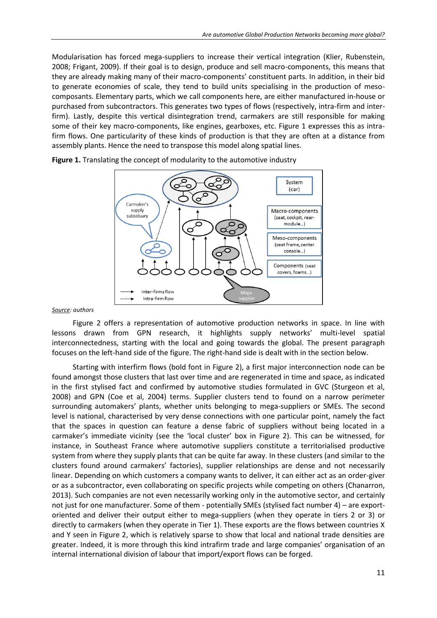Modularisation has forced mega-suppliers to increase their vertical integration (Klier, Rubenstein, 2008; Frigant, 2009). If their goal is to design, produce and sell macro-components, this means that they are already making many of their macro-components' constituent parts. In addition, in their bid to generate economies of scale, they tend to build units specialising in the production of mesocomposants. Elementary parts, which we call components here, are either manufactured in-house or purchased from subcontractors. This generates two types of flows (respectively, intra-firm and interfirm). Lastly, despite this vertical disintegration trend, carmakers are still responsible for making some of their key macro-components, like engines, gearboxes, etc. Figure 1 expresses this as intrafirm flows. One particularity of these kinds of production is that they are often at a distance from assembly plants. Hence the need to transpose this model along spatial lines.



**Figure 1.** Translating the concept of modularity to the automotive industry

#### *Source: authors*

Figure 2 offers a representation of automotive production networks in space. In line with lessons drawn from GPN research, it highlights supply networks' multi-level spatial interconnectedness, starting with the local and going towards the global. The present paragraph focuses on the left-hand side of the figure. The right-hand side is dealt with in the section below.

Starting with interfirm flows (bold font in Figure 2), a first major interconnection node can be found amongst those clusters that last over time and are regenerated in time and space, as indicated in the first stylised fact and confirmed by automotive studies formulated in GVC (Sturgeon et al, 2008) and GPN (Coe et al, 2004) terms. Supplier clusters tend to found on a narrow perimeter surrounding automakers' plants, whether units belonging to mega-suppliers or SMEs. The second level is national, characterised by very dense connections with one particular point, namely the fact that the spaces in question can feature a dense fabric of suppliers without being located in a carmaker's immediate vicinity (see the 'local cluster' box in Figure 2). This can be witnessed, for instance, in Southeast France where automotive suppliers constitute a territorialised productive system from where they supply plants that can be quite far away. In these clusters (and similar to the clusters found around carmakers' factories), supplier relationships are dense and not necessarily linear. Depending on which customers a company wants to deliver, it can either act as an order-giver or as a subcontractor, even collaborating on specific projects while competing on others (Chanarron, 2013). Such companies are not even necessarily working only in the automotive sector, and certainly not just for one manufacturer. Some of them - potentially SMEs (stylised fact number 4) – are exportoriented and deliver their output either to mega-suppliers (when they operate in tiers 2 or 3) or directly to carmakers (when they operate in Tier 1). These exports are the flows between countries X and Y seen in Figure 2, which is relatively sparse to show that local and national trade densities are greater. Indeed, it is more through this kind intrafirm trade and large companies' organisation of an internal international division of labour that import/export flows can be forged.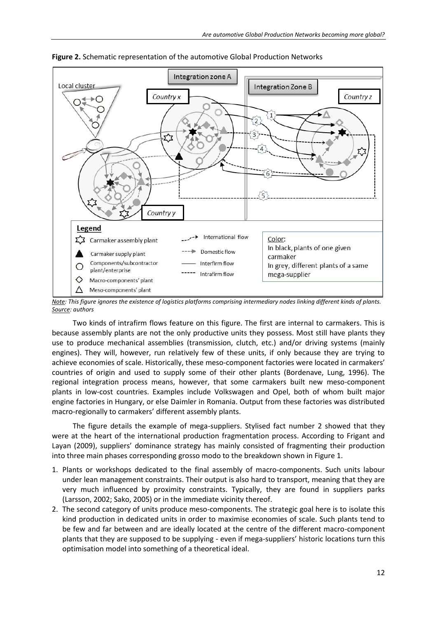

**Figure 2.** Schematic representation of the automotive Global Production Networks

*Note: This figure ignores the existence of logistics platforms comprising intermediary nodes linking different kinds of plants. Source: authors*

Two kinds of intrafirm flows feature on this figure. The first are internal to carmakers. This is because assembly plants are not the only productive units they possess. Most still have plants they use to produce mechanical assemblies (transmission, clutch, etc.) and/or driving systems (mainly engines). They will, however, run relatively few of these units, if only because they are trying to achieve economies of scale. Historically, these meso-component factories were located in carmakers' countries of origin and used to supply some of their other plants (Bordenave, Lung, 1996). The regional integration process means, however, that some carmakers built new meso-component plants in low-cost countries. Examples include Volkswagen and Opel, both of whom built major engine factories in Hungary, or else Daimler in Romania. Output from these factories was distributed macro-regionally to carmakers' different assembly plants.

The figure details the example of mega-suppliers. Stylised fact number 2 showed that they were at the heart of the international production fragmentation process. According to Frigant and Layan (2009), suppliers' dominance strategy has mainly consisted of fragmenting their production into three main phases corresponding grosso modo to the breakdown shown in Figure 1.

- 1. Plants or workshops dedicated to the final assembly of macro-components. Such units labour under lean management constraints. Their output is also hard to transport, meaning that they are very much influenced by proximity constraints. Typically, they are found in suppliers parks (Larsson, 2002; Sako, 2005) or in the immediate vicinity thereof.
- 2. The second category of units produce meso-components. The strategic goal here is to isolate this kind production in dedicated units in order to maximise economies of scale. Such plants tend to be few and far between and are ideally located at the centre of the different macro-component plants that they are supposed to be supplying - even if mega-suppliers' historic locations turn this optimisation model into something of a theoretical ideal.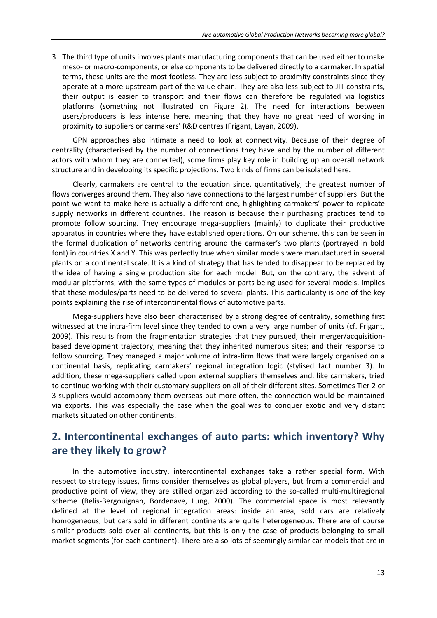3. The third type of units involves plants manufacturing components that can be used either to make meso- or macro-components, or else components to be delivered directly to a carmaker. In spatial terms, these units are the most footless. They are less subject to proximity constraints since they operate at a more upstream part of the value chain. They are also less subject to JIT constraints, their output is easier to transport and their flows can therefore be regulated via logistics platforms (something not illustrated on Figure 2). The need for interactions between users/producers is less intense here, meaning that they have no great need of working in proximity to suppliers or carmakers' R&D centres (Frigant, Layan, 2009).

GPN approaches also intimate a need to look at connectivity. Because of their degree of centrality (characterised by the number of connections they have and by the number of different actors with whom they are connected), some firms play key role in building up an overall network structure and in developing its specific projections. Two kinds of firms can be isolated here.

Clearly, carmakers are central to the equation since, quantitatively, the greatest number of flows converges around them. They also have connections to the largest number of suppliers. But the point we want to make here is actually a different one, highlighting carmakers' power to replicate supply networks in different countries. The reason is because their purchasing practices tend to promote follow sourcing. They encourage mega-suppliers (mainly) to duplicate their productive apparatus in countries where they have established operations. On our scheme, this can be seen in the formal duplication of networks centring around the carmaker's two plants (portrayed in bold font) in countries X and Y. This was perfectly true when similar models were manufactured in several plants on a continental scale. It is a kind of strategy that has tended to disappear to be replaced by the idea of having a single production site for each model. But, on the contrary, the advent of modular platforms, with the same types of modules or parts being used for several models, implies that these modules/parts need to be delivered to several plants. This particularity is one of the key points explaining the rise of intercontinental flows of automotive parts.

Mega-suppliers have also been characterised by a strong degree of centrality, something first witnessed at the intra-firm level since they tended to own a very large number of units (cf. Frigant, 2009). This results from the fragmentation strategies that they pursued; their merger/acquisitionbased development trajectory, meaning that they inherited numerous sites; and their response to follow sourcing. They managed a major volume of intra-firm flows that were largely organised on a continental basis, replicating carmakers' regional integration logic (stylised fact number 3). In addition, these mega-suppliers called upon external suppliers themselves and, like carmakers, tried to continue working with their customary suppliers on all of their different sites. Sometimes Tier 2 or 3 suppliers would accompany them overseas but more often, the connection would be maintained via exports. This was especially the case when the goal was to conquer exotic and very distant markets situated on other continents.

# **2. Intercontinental exchanges of auto parts: which inventory? Why are they likely to grow?**

In the automotive industry, intercontinental exchanges take a rather special form. With respect to strategy issues, firms consider themselves as global players, but from a commercial and productive point of view, they are stilled organized according to the so-called multi-multiregional scheme (Bélis-Bergouignan, Bordenave, Lung, 2000). The commercial space is most relevantly defined at the level of regional integration areas: inside an area, sold cars are relatively homogeneous, but cars sold in different continents are quite heterogeneous. There are of course similar products sold over all continents, but this is only the case of products belonging to small market segments (for each continent). There are also lots of seemingly similar car models that are in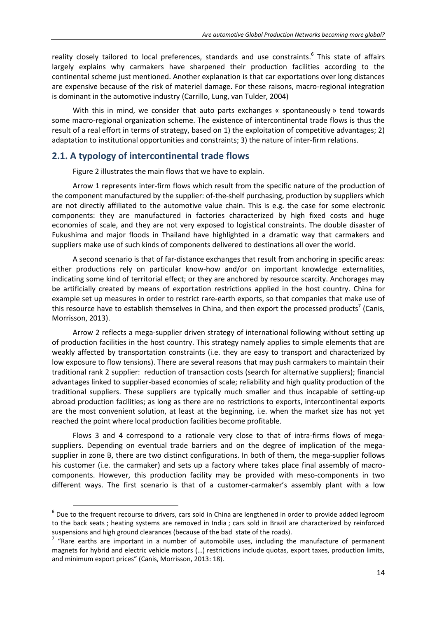reality closely tailored to local preferences, standards and use constraints.<sup>6</sup> This state of affairs largely explains why carmakers have sharpened their production facilities according to the continental scheme just mentioned. Another explanation is that car exportations over long distances are expensive because of the risk of materiel damage. For these raisons, macro-regional integration is dominant in the automotive industry (Carrillo, Lung, van Tulder, 2004)

With this in mind, we consider that auto parts exchanges « spontaneously » tend towards some macro-regional organization scheme. The existence of intercontinental trade flows is thus the result of a real effort in terms of strategy, based on 1) the exploitation of competitive advantages; 2) adaptation to institutional opportunities and constraints; 3) the nature of inter-firm relations.

### **2.1. A typology of intercontinental trade flows**

l

Figure 2 illustrates the main flows that we have to explain.

Arrow 1 represents inter-firm flows which result from the specific nature of the production of the component manufactured by the supplier: of-the-shelf purchasing, production by suppliers which are not directly affiliated to the automotive value chain. This is e.g. the case for some electronic components: they are manufactured in factories characterized by high fixed costs and huge economies of scale, and they are not very exposed to logistical constraints. The double disaster of Fukushima and major floods in Thailand have highlighted in a dramatic way that carmakers and suppliers make use of such kinds of components delivered to destinations all over the world.

A second scenario is that of far-distance exchanges that result from anchoring in specific areas: either productions rely on particular know-how and/or on important knowledge externalities, indicating some kind of territorial effect; or they are anchored by resource scarcity. Anchorages may be artificially created by means of exportation restrictions applied in the host country. China for example set up measures in order to restrict rare-earth exports, so that companies that make use of this resource have to establish themselves in China, and then export the processed products<sup>7</sup> (Canis, Morrisson, 2013).

Arrow 2 reflects a mega-supplier driven strategy of international following without setting up of production facilities in the host country. This strategy namely applies to simple elements that are weakly affected by transportation constraints (i.e. they are easy to transport and characterized by low exposure to flow tensions). There are several reasons that may push carmakers to maintain their traditional rank 2 supplier: reduction of transaction costs (search for alternative suppliers); financial advantages linked to supplier-based economies of scale; reliability and high quality production of the traditional suppliers. These suppliers are typically much smaller and thus incapable of setting-up abroad production facilities; as long as there are no restrictions to exports, intercontinental exports are the most convenient solution, at least at the beginning, i.e. when the market size has not yet reached the point where local production facilities become profitable.

Flows 3 and 4 correspond to a rationale very close to that of intra-firms flows of megasuppliers. Depending on eventual trade barriers and on the degree of implication of the megasupplier in zone B, there are two distinct configurations. In both of them, the mega-supplier follows his customer (i.e. the carmaker) and sets up a factory where takes place final assembly of macrocomponents. However, this production facility may be provided with meso-components in two different ways. The first scenario is that of a customer-carmaker's assembly plant with a low

 $<sup>6</sup>$  Due to the frequent recourse to drivers, cars sold in China are lengthened in order to provide added legroom</sup> to the back seats ; heating systems are removed in India ; cars sold in Brazil are characterized by reinforced suspensions and high ground clearances (because of the bad state of the roads).

 $7$  "Rare earths are important in a number of automobile uses, including the manufacture of permanent magnets for hybrid and electric vehicle motors (…) restrictions include quotas, export taxes, production limits, and minimum export prices" (Canis, Morrisson, 2013: 18).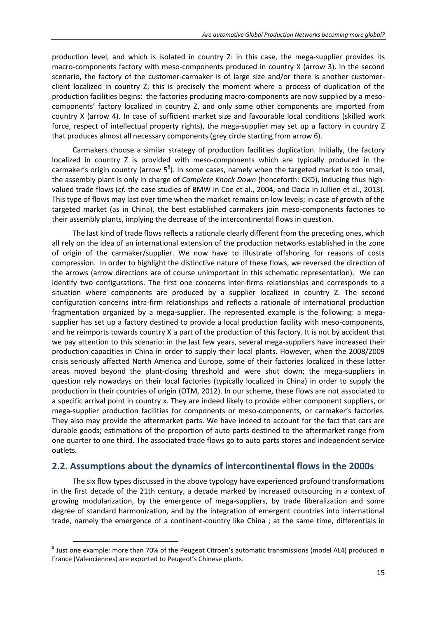production level, and which is isolated in country Z: in this case, the mega-supplier provides its macro-components factory with meso-components produced in country X (arrow 3). In the second scenario, the factory of the customer-carmaker is of large size and/or there is another customerclient localized in country Z; this is precisely the moment where a process of duplication of the production facilities begins: the factories producing macro-components are now supplied by a mesocomponents' factory localized in country Z, and only some other components are imported from country X (arrow 4). In case of sufficient market size and favourable local conditions (skilled work force, respect of intellectual property rights), the mega-supplier may set up a factory in country Z that produces almost all necessary components (grey circle starting from arrow 6).

Carmakers choose a similar strategy of production facilities duplication. Initially, the factory localized in country Z is provided with meso-components which are typically produced in the carmaker's origin country (arrow  $5^8$ ). In some cases, namely when the targeted market is too small, the assembly plant is only in charge of *Complete Knock Down* (henceforth: CKD), inducing thus highvalued trade flows (*cf.* the case studies of BMW in Coe et al., 2004, and Dacia in Jullien et al., 2013). This type of flows may last over time when the market remains on low levels; in case of growth of the targeted market (as in China), the best established carmakers join meso-components factories to their assembly plants, implying the decrease of the intercontinental flows in question.

The last kind of trade flows reflects a rationale clearly different from the preceding ones, which all rely on the idea of an international extension of the production networks established in the zone of origin of the carmaker/supplier. We now have to illustrate offshoring for reasons of costs compression. In order to highlight the distinctive nature of these flows, we reversed the direction of the arrows (arrow directions are of course unimportant in this schematic representation). We can identify two configurations. The first one concerns inter-firms relationships and corresponds to a situation where components are produced by a supplier localized in country Z. The second configuration concerns intra-firm relationships and reflects a rationale of international production fragmentation organized by a mega-supplier. The represented example is the following: a megasupplier has set up a factory destined to provide a local production facility with meso-components, and he reimports towards country X a part of the production of this factory. It is not by accident that we pay attention to this scenario: in the last few years, several mega-suppliers have increased their production capacities in China in order to supply their local plants. However, when the 2008/2009 crisis seriously affected North America and Europe, some of their factories localized in these latter areas moved beyond the plant-closing threshold and were shut down; the mega-suppliers in question rely nowadays on their local factories (typically localized in China) in order to supply the production in their countries of origin (OTM, 2012). In our scheme, these flows are not associated to a specific arrival point in country x. They are indeed likely to provide either component suppliers, or mega-supplier production facilities for components or meso-components, or carmaker's factories. They also may provide the aftermarket parts. We have indeed to account for the fact that cars are durable goods; estimations of the proportion of auto parts destined to the aftermarket range from one quarter to one third. The associated trade flows go to auto parts stores and independent service outlets.

# **2.2. Assumptions about the dynamics of intercontinental flows in the 2000s**

The six flow types discussed in the above typology have experienced profound transformations in the first decade of the 21th century, a decade marked by increased outsourcing in a context of growing modularization, by the emergence of mega-suppliers, by trade liberalization and some degree of standard harmonization, and by the integration of emergent countries into international trade, namely the emergence of a continent-country like China ; at the same time, differentials in

 $\overline{a}$ 

<sup>&</sup>lt;sup>8</sup> Just one example: more than 70% of the Peugeot Citroen's automatic transmissions (model AL4) produced in France (Valenciennes) are exported to Peugeot's Chinese plants.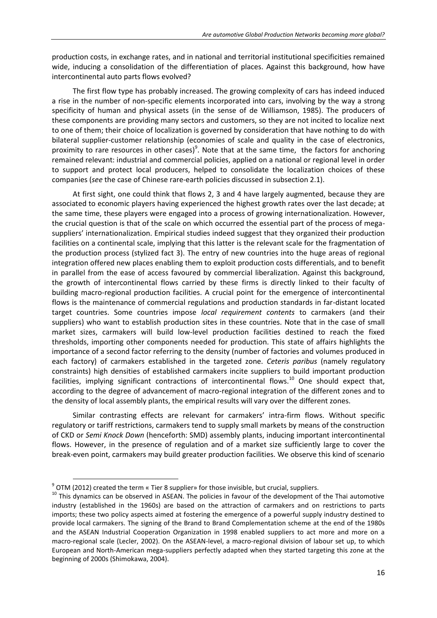production costs, in exchange rates, and in national and territorial institutional specificities remained wide, inducing a consolidation of the differentiation of places. Against this background, how have intercontinental auto parts flows evolved?

The first flow type has probably increased. The growing complexity of cars has indeed induced a rise in the number of non-specific elements incorporated into cars, involving by the way a strong specificity of human and physical assets (in the sense of de Williamson, 1985). The producers of these components are providing many sectors and customers, so they are not incited to localize next to one of them; their choice of localization is governed by consideration that have nothing to do with bilateral supplier-customer relationship (economies of scale and quality in the case of electronics, proximity to rare resources in other cases)<sup>9</sup>. Note that at the same time, the factors for anchoring remained relevant: industrial and commercial policies, applied on a national or regional level in order to support and protect local producers, helped to consolidate the localization choices of these companies (*see* the case of Chinese rare-earth policies discussed in subsection 2.1).

At first sight, one could think that flows 2, 3 and 4 have largely augmented, because they are associated to economic players having experienced the highest growth rates over the last decade; at the same time, these players were engaged into a process of growing internationalization. However, the crucial question is that of the scale on which occurred the essential part of the process of megasuppliers' internationalization. Empirical studies indeed suggest that they organized their production facilities on a continental scale, implying that this latter is the relevant scale for the fragmentation of the production process (stylized fact 3). The entry of new countries into the huge areas of regional integration offered new places enabling them to exploit production costs differentials, and to benefit in parallel from the ease of access favoured by commercial liberalization. Against this background, the growth of intercontinental flows carried by these firms is directly linked to their faculty of building macro-regional production facilities. A crucial point for the emergence of intercontinental flows is the maintenance of commercial regulations and production standards in far-distant located target countries. Some countries impose *local requirement contents* to carmakers (and their suppliers) who want to establish production sites in these countries. Note that in the case of small market sizes, carmakers will build low-level production facilities destined to reach the fixed thresholds, importing other components needed for production. This state of affairs highlights the importance of a second factor referring to the density (number of factories and volumes produced in each factory) of carmakers established in the targeted zone. *Ceteris paribus* (namely regulatory constraints) high densities of established carmakers incite suppliers to build important production facilities, implying significant contractions of intercontinental flows.<sup>10</sup> One should expect that, according to the degree of advancement of macro-regional integration of the different zones and to the density of local assembly plants, the empirical results will vary over the different zones.

Similar contrasting effects are relevant for carmakers' intra-firm flows. Without specific regulatory or tariff restrictions, carmakers tend to supply small markets by means of the construction of CKD or *Semi Knock Down* (henceforth: SMD) assembly plants, inducing important intercontinental flows. However, in the presence of regulation and of a market size sufficiently large to cover the break-even point, carmakers may build greater production facilities. We observe this kind of scenario

 $\overline{a}$ 

 $9$  OTM (2012) created the term « Tier 8 supplier» for those invisible, but crucial, suppliers.

 $10$  This dynamics can be observed in ASEAN. The policies in favour of the development of the Thai automotive industry (established in the 1960s) are based on the attraction of carmakers and on restrictions to parts imports; these two policy aspects aimed at fostering the emergence of a powerful supply industry destined to provide local carmakers. The signing of the Brand to Brand Complementation scheme at the end of the 1980s and the ASEAN Industrial Cooperation Organization in 1998 enabled suppliers to act more and more on a macro-regional scale (Lecler, 2002). On the ASEAN-level, a macro-regional division of labour set up, to which European and North-American mega-suppliers perfectly adapted when they started targeting this zone at the beginning of 2000s (Shimokawa, 2004).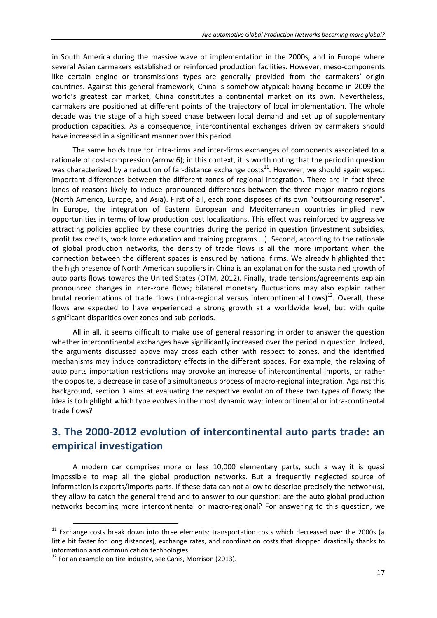in South America during the massive wave of implementation in the 2000s, and in Europe where several Asian carmakers established or reinforced production facilities. However, meso-components like certain engine or transmissions types are generally provided from the carmakers' origin countries. Against this general framework, China is somehow atypical: having become in 2009 the world's greatest car market, China constitutes a continental market on its own. Nevertheless, carmakers are positioned at different points of the trajectory of local implementation. The whole decade was the stage of a high speed chase between local demand and set up of supplementary production capacities. As a consequence, intercontinental exchanges driven by carmakers should have increased in a significant manner over this period.

The same holds true for intra-firms and inter-firms exchanges of components associated to a rationale of cost-compression (arrow 6); in this context, it is worth noting that the period in question was characterized by a reduction of far-distance exchange costs<sup>11</sup>. However, we should again expect important differences between the different zones of regional integration. There are in fact three kinds of reasons likely to induce pronounced differences between the three major macro-regions (North America, Europe, and Asia). First of all, each zone disposes of its own "outsourcing reserve". In Europe, the integration of Eastern European and Mediterranean countries implied new opportunities in terms of low production cost localizations. This effect was reinforced by aggressive attracting policies applied by these countries during the period in question (investment subsidies, profit tax credits, work force education and training programs …). Second, according to the rationale of global production networks, the density of trade flows is all the more important when the connection between the different spaces is ensured by national firms. We already highlighted that the high presence of North American suppliers in China is an explanation for the sustained growth of auto parts flows towards the United States (OTM, 2012). Finally, trade tensions/agreements explain pronounced changes in inter-zone flows; bilateral monetary fluctuations may also explain rather brutal reorientations of trade flows (intra-regional versus intercontinental flows) $^{12}$ . Overall, these flows are expected to have experienced a strong growth at a worldwide level, but with quite significant disparities over zones and sub-periods.

All in all, it seems difficult to make use of general reasoning in order to answer the question whether intercontinental exchanges have significantly increased over the period in question. Indeed, the arguments discussed above may cross each other with respect to zones, and the identified mechanisms may induce contradictory effects in the different spaces. For example, the relaxing of auto parts importation restrictions may provoke an increase of intercontinental imports, or rather the opposite, a decrease in case of a simultaneous process of macro-regional integration. Against this background, section 3 aims at evaluating the respective evolution of these two types of flows; the idea is to highlight which type evolves in the most dynamic way: intercontinental or intra-continental trade flows?

# **3. The 2000-2012 evolution of intercontinental auto parts trade: an empirical investigation**

A modern car comprises more or less 10,000 elementary parts, such a way it is quasi impossible to map all the global production networks. But a frequently neglected source of information is exports/imports parts. If these data can not allow to describe precisely the network(s), they allow to catch the general trend and to answer to our question: are the auto global production networks becoming more intercontinental or macro-regional? For answering to this question, we

<sup>&</sup>lt;sup>11</sup> Exchange costs break down into three elements: transportation costs which decreased over the 2000s (a little bit faster for long distances), exchange rates, and coordination costs that dropped drastically thanks to information and communication technologies.

 $12$  For an example on tire industry, see Canis, Morrison (2013).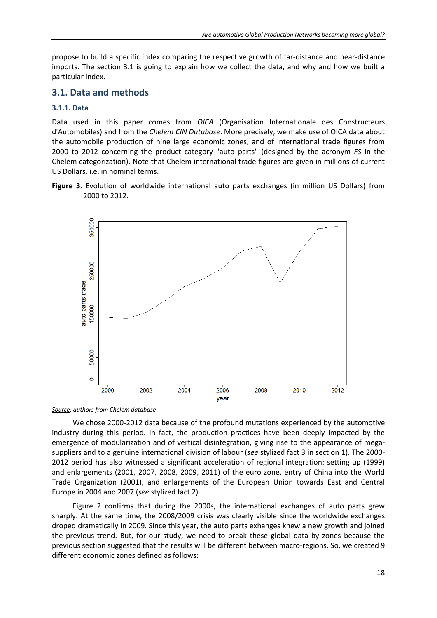propose to build a specific index comparing the respective growth of far-distance and near-distance imports. The section 3.1 is going to explain how we collect the data, and why and how we built a particular index.

# **3.1. Data and methods**

### **3.1.1. Data**

Data used in this paper comes from *OICA* (Organisation Internationale des Constructeurs d'Automobiles) and from the *Chelem CIN Database*. More precisely, we make use of OICA data about the automobile production of nine large economic zones, and of international trade figures from 2000 to 2012 concerning the product category "auto parts" (designed by the acronym *FS* in the Chelem categorization). Note that Chelem international trade figures are given in millions of current US Dollars, i.e. in nominal terms.

**Figure 3.** Evolution of worldwide international auto parts exchanges (in million US Dollars) from 2000 to 2012.



*Source: authors from Chelem database* 

We chose 2000-2012 data because of the profound mutations experienced by the automotive industry during this period. In fact, the production practices have been deeply impacted by the emergence of modularization and of vertical disintegration, giving rise to the appearance of megasuppliers and to a genuine international division of labour (*see* stylized fact 3 in section 1). The 2000- 2012 period has also witnessed a significant acceleration of regional integration: setting up (1999) and enlargements (2001, 2007, 2008, 2009, 2011) of the euro zone, entry of China into the World Trade Organization (2001), and enlargements of the European Union towards East and Central Europe in 2004 and 2007 (*see* stylized fact 2).

Figure 2 confirms that during the 2000s, the international exchanges of auto parts grew sharply. At the same time, the 2008/2009 crisis was clearly visible since the worldwide exchanges droped dramatically in 2009. Since this year, the auto parts exhanges knew a new growth and joined the previous trend. But, for our study, we need to break these global data by zones because the previous section suggested that the results will be different between macro-regions. So, we created 9 different economic zones defined as follows: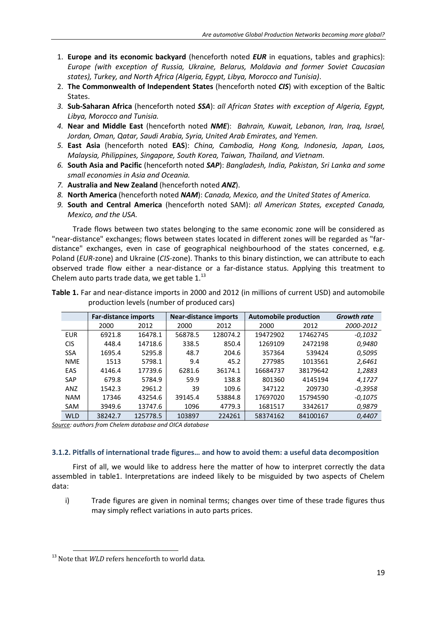- 1. **Europe and its economic backyard** (henceforth noted *EUR* in equations, tables and graphics): *Europe (with exception of Russia, Ukraine, Belarus, Moldavia and former Soviet Caucasian states), Turkey, and North Africa (Algeria, Egypt, Libya, Morocco and Tunisia)*.
- 2. **The Commonwealth of Independent States** (henceforth noted *CIS*) with exception of the Baltic States.
- *3.* **Sub-Saharan Africa** (henceforth noted *SSA*): *all African States with exception of Algeria, Egypt, Libya, Morocco and Tunisia.*
- *4.* **Near and Middle East** (henceforth noted *NME*): *Bahrain, Kuwait, Lebanon, Iran, Iraq, Israel, Jordan, Oman, Qatar, Saudi Arabia, Syria, United Arab Emirates, and Yemen.*
- *5.* **East Asia** (henceforth noted **EAS**): *China, Cambodia, Hong Kong, Indonesia, Japan, Laos, Malaysia, Philippines, Singapore, South Korea, Taiwan, Thailand, and Vietnam.*
- *6.* **South Asia and Pacific** (henceforth noted *SAP*): *Bangladesh, India, Pakistan, Sri Lanka and some small economies in Asia and Oceania.*
- *7.* **Australia and New Zealand** (henceforth noted *ANZ*).
- *8.* **North America** (henceforth noted *NAM*): *Canada, Mexico, and the United States of America.*
- *9.* **South and Central America** (henceforth noted SAM): *all American States, excepted Canada, Mexico, and the USA.*

Trade flows between two states belonging to the same economic zone will be considered as "near-distance" exchanges; flows between states located in different zones will be regarded as "fardistance" exchanges, even in case of geographical neighbourhood of the states concerned, e.g. Poland (*EUR*-zone) and Ukraine (*CIS*-zone). Thanks to this binary distinction, we can attribute to each observed trade flow either a near-distance or a far-distance status. Applying this treatment to Chelem auto parts trade data, we get table  $1.^{13}$ 

|            | <b>Far-distance imports</b> |          | <b>Near-distance imports</b> |          | <b>Automobile production</b> | <b>Growth rate</b> |           |
|------------|-----------------------------|----------|------------------------------|----------|------------------------------|--------------------|-----------|
|            | 2000                        | 2012     | 2000                         | 2012     | 2000                         | 2012               | 2000-2012 |
| <b>EUR</b> | 6921.8                      | 16478.1  | 56878.5                      | 128074.2 | 19472902                     | 17462745           | $-0,1032$ |
| <b>CIS</b> | 448.4                       | 14718.6  | 338.5                        | 850.4    | 1269109                      | 2472198            | 0,9480    |
| <b>SSA</b> | 1695.4                      | 5295.8   | 48.7                         | 204.6    | 357364                       | 539424             | 0,5095    |
| <b>NME</b> | 1513                        | 5798.1   | 9.4                          | 45.2     | 277985                       | 1013561            | 2,6461    |
| EAS        | 4146.4                      | 17739.6  | 6281.6                       | 36174.1  | 16684737                     | 38179642           | 1,2883    |
| SAP        | 679.8                       | 5784.9   | 59.9                         | 138.8    | 801360                       | 4145194            | 4,1727    |
| ANZ        | 1542.3                      | 2961.2   | 39                           | 109.6    | 347122                       | 209730             | $-0.3958$ |
| <b>NAM</b> | 17346                       | 43254.6  | 39145.4                      | 53884.8  | 17697020                     | 15794590           | $-0,1075$ |
| <b>SAM</b> | 3949.6                      | 13747.6  | 1096                         | 4779.3   | 1681517                      | 3342617            | 0,9879    |
| <b>WLD</b> | 38242.7                     | 125778.5 | 103897                       | 224261   | 58374162                     | 84100167           | 0,4407    |

**Table 1.** Far and near-distance imports in 2000 and 2012 (in millions of current USD) and automobile production levels (number of produced cars)

*Source: authors from Chelem database and OICA database* 

#### **3.1.2. Pitfalls of international trade figures… and how to avoid them: a useful data decomposition**

First of all, we would like to address here the matter of how to interpret correctly the data assembled in table1. Interpretations are indeed likely to be misguided by two aspects of Chelem data:

i) Trade figures are given in nominal terms; changes over time of these trade figures thus may simply reflect variations in auto parts prices.

<sup>&</sup>lt;sup>13</sup> Note that *WLD* refers henceforth to world data.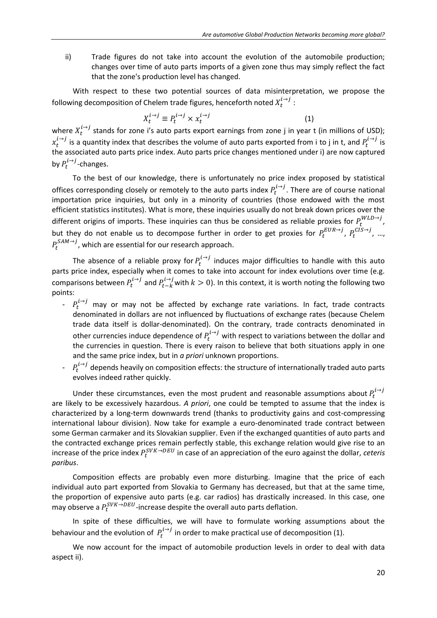ii) Trade figures do not take into account the evolution of the automobile production; changes over time of auto parts imports of a given zone thus may simply reflect the fact that the zone's production level has changed.

With respect to these two potential sources of data misinterpretation, we propose the following decomposition of Chelem trade figures, henceforth noted  $X_t^{l\rightarrow j}$  :

$$
X_t^{i \to j} \equiv P_t^{i \to j} \times x_t^{i \to j} \tag{1}
$$

where  $X_t^{t\rightarrow j}$  stands for zone i's auto parts export earnings from zone j in year t (in millions of USD);  $x_t^{l\to j}$  is a quantity index that describes the volume of auto parts exported from i to j in t, and  $P_t^{l\to j}$  is the associated auto parts price index. Auto parts price changes mentioned under i) are now captured by  $P_t^{l \rightarrow j}$ -changes.

To the best of our knowledge, there is unfortunately no price index proposed by statistical offices corresponding closely or remotely to the auto parts index  $P_t^{1\rightarrow j}$ . There are of course national importation price inquiries, but only in a minority of countries (those endowed with the most efficient statistics institutes). What is more, these inquiries usually do not break down prices over the different origins of imports. These inquiries can thus be considered as reliable proxies for  $P_t^{WLD\rightarrow j}$ , but they do not enable us to decompose further in order to get proxies for  $P_t^{EUR\to j}$ ,  $P_t^{CIS\to j}$ , ...,  $P_t^{SAM\rightarrow J}$ , which are essential for our research approach.

The absence of a reliable proxy for  $P_t^{t\rightarrow j}$  induces major difficulties to handle with this auto parts price index, especially when it comes to take into account for index evolutions over time (e.g. comparisons between  $P_t^{i\to j}$  and  $P_{t-k}^{i\to j}$  with  $k>0$ ). In this context, it is worth noting the following two points:

- $P_t^{i\rightarrow j}$  may or may not be affected by exchange rate variations. In fact, trade contracts denominated in dollars are not influenced by fluctuations of exchange rates (because Chelem trade data itself is dollar-denominated). On the contrary, trade contracts denominated in other currencies induce dependence of  $P_t^{l\rightarrow j}$  with respect to variations between the dollar and the currencies in question. There is every raison to believe that both situations apply in one and the same price index, but in *a priori* unknown proportions.
- $P_t^{i\rightarrow j}$  depends heavily on composition effects: the structure of internationally traded auto parts evolves indeed rather quickly.

Under these circumstances, even the most prudent and reasonable assumptions about  $P_t^l$ are likely to be excessively hazardous. *A priori*, one could be tempted to assume that the index is characterized by a long-term downwards trend (thanks to productivity gains and cost-compressing international labour division). Now take for example a euro-denominated trade contract between some German carmaker and its Slovakian supplier. Even if the exchanged quantities of auto parts and the contracted exchange prices remain perfectly stable, this exchange relation would give rise to an increase of the price index  $P_t^{SVK \to DEU}$  in case of an appreciation of the euro against the dollar, *ceteris paribus*.

Composition effects are probably even more disturbing. Imagine that the price of each individual auto part exported from Slovakia to Germany has decreased, but that at the same time, the proportion of expensive auto parts (e.g. car radios) has drastically increased. In this case, one may observe a  $P_t^{SVK \rightarrow DEU}$ -increase despite the overall auto parts deflation.

In spite of these difficulties, we will have to formulate working assumptions about the behaviour and the evolution of  $P_t^{1\rightarrow j}$  in order to make practical use of decomposition (1).

We now account for the impact of automobile production levels in order to deal with data aspect ii).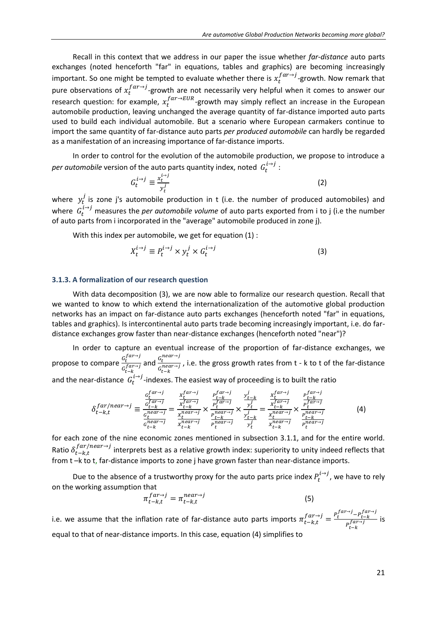Recall in this context that we address in our paper the issue whether *far-distance* auto parts exchanges (noted henceforth "far" in equations, tables and graphics) are becoming increasingly important. So one might be tempted to evaluate whether there is  $x_t^{far\rightarrow j}$ -growth. Now remark that pure observations of  $x_t^{far\rightarrow}$  growth are not necessarily very helpful when it comes to answer our research question: for example,  $x_t^{far \rightarrow EUR}$ -growth may simply reflect an increase in the European automobile production, leaving unchanged the average quantity of far-distance imported auto parts used to build each individual automobile. But a scenario where European carmakers continue to import the same quantity of far-distance auto parts *per produced automobile* can hardly be regarded as a manifestation of an increasing importance of far-distance imports.

In order to control for the evolution of the automobile production, we propose to introduce a per automobile version of the auto parts quantity index, noted  $G_t^{1 \rightarrow j}$  :

$$
G_t^{i \to j} \equiv \frac{x_t^{i \to j}}{y_t^j} \tag{2}
$$

where  $y_t^j$  is zone j's automobile production in t (i.e. the number of produced automobiles) and where  $G_t^{l \rightarrow j}$  measures the *per automobile volume* of auto parts exported from i to j (i.e the number of auto parts from i incorporated in the "average" automobile produced in zone j).

With this index per automobile, we get for equation (1) :

$$
X_t^{i \to j} \equiv P_t^{i \to j} \times y_t^j \times G_t^{i \to j}
$$
 (3)

#### **3.1.3. A formalization of our research question**

With data decomposition (3), we are now able to formalize our research question. Recall that we wanted to know to which extend the internationalization of the automotive global production networks has an impact on far-distance auto parts exchanges (henceforth noted "far" in equations, tables and graphics). Is intercontinental auto parts trade becoming increasingly important, i.e. do fardistance exchanges grow faster than near-distance exchanges (henceforth noted "near")?

In order to capture an eventual increase of the proportion of far-distance exchanges, we propose to compare  $\frac{G_t^f}{f}$  $\frac{G_t^{far \rightarrow j}}{G_{t-k}^{far \rightarrow j}}$  and  $\frac{G_t^n}{G_{t-k}^n}$  $\frac{G_t}{G_{t-k}^{near\rightarrow j}}$ , i.e. the gross growth rates from t - k to t of the far-distance and the near-distance  $G_t^{l \rightarrow j}$ -indexes. The easiest way of proceeding is to built the ratio

$$
\delta_{t-k,t}^{far/near \to j} \equiv \frac{\frac{c_t^{far \to j}}{c_{t-k}^{far \to j}}}{\frac{c_t^{near \to j}}{c_{t-k}^{near \to j}}} = \frac{\frac{x_t^{far \to j}}{x_{t-k}^{far \to j}}}{\frac{x_t^{near \to j}}{x_{t-k}^{near \to j}}} \times \frac{\frac{p_t^{far \to j}}{p_t^{far \to j}}}{\frac{p_t^{near \to j}}{p_t^{near \to j}}} \times \frac{\frac{y_{t-k}^j}{y_t^j}}{\frac{y_t^j}{y_t^j}}}{\frac{y_{t-k}^j}{p_t^{near \to j}}} = \frac{\frac{x_t^{far \to j}}{x_{t-k}^{near \to j}}}{\frac{x_t^{near \to j}}{x_{t-k}^{near \to j}}} \times \frac{\frac{p_t^{far \to j}}{p_t^{near \to j}}}{\frac{p_t^{near \to j}}{p_t^{near \to j}}} \tag{4}
$$

for each zone of the nine economic zones mentioned in subsection 3.1.1, and for the entire world. Ratio  $\delta_{t-k,t}^{far/near\rightarrow j}$  interprets best as a relative growth index: superiority to unity indeed reflects that from t –k to t, far-distance imports to zone j have grown faster than near-distance imports.

Due to the absence of a trustworthy proxy for the auto parts price index  $P_t^{1\rightarrow j}$ , we have to rely on the working assumption that

$$
\pi_{t-k,t}^{far \to j} = \pi_{t-k,t}^{near \to j} \tag{5}
$$

i.e. we assume that the inflation rate of far-distance auto parts imports  $\pi f_{t-k,t}^{far\to j} = \frac{P_t^{far\to j} - P_t^f}{far\to i}$  $\frac{t-k}{P_{t-k}^{far\rightarrow j}}$  is equal to that of near-distance imports. In this case, equation (4) simplifies to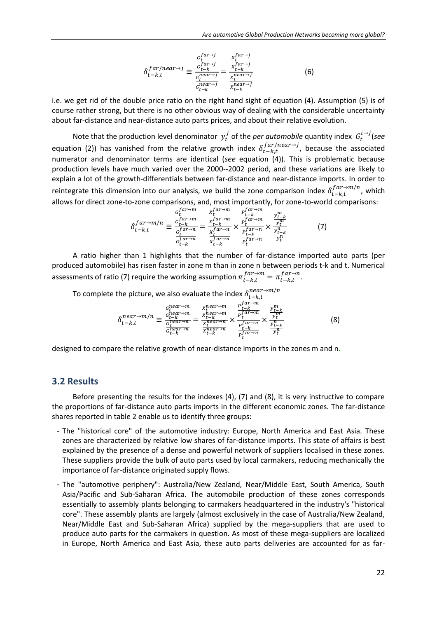$$
\delta_{t-k,t}^{far/near \to j} \equiv \frac{\frac{c_t^{far \to j}}{t^{far \to j}}}{\frac{c_{t-k}^{near \to j}}{c_{t-k}^{near \to j}}} = \frac{\frac{x_t^{far \to j}}{x_t^{near \to j}}}{\frac{x_t^{near \to j}}{x_t^{near \to j}}}
$$
(6)

i.e. we get rid of the double price ratio on the right hand sight of equation (4). Assumption (5) is of course rather strong, but there is no other obvious way of dealing with the considerable uncertainty about far-distance and near-distance auto parts prices, and about their relative evolution.

Note that the production level denominator  $y_t^j$  of the *per automobile* quantity index  $G_t^{l\rightarrow j}$  (see equation (2)) has vanished from the relative growth index  $\delta_{t-k,t}^{far/near\rightarrow}$ , because the associated numerator and denominator terms are identical (*see* equation (4)). This is problematic because production levels have much varied over the 2000--2002 period, and these variations are likely to explain a lot of the growth-differentials between far-distance and near-distance imports. In order to reintegrate this dimension into our analysis, we build the zone comparison index  $\delta_{t-k,t}^{far \to m/n}$ , which allows for direct zone-to-zone comparisons, and, most importantly, for zone-to-world comparisons:

$$
\delta_{t-k,t}^{far \to m/n} \equiv \frac{\frac{c_{t-k}^{far \to m}}{c_{t-k}^{far \to n}}}{\frac{c_{t-k}^{far \to n}}{c_{t-k}^{far \to n}}} = \frac{\frac{x_t^{far \to m}}{x_{t-k}^{far \to m}}}{\frac{x_t^{far \to n}}{x_{t-k}^{far \to n}}} \times \frac{\frac{y_{t-k}^m}{y_{t-k}^{far \to n}}}{\frac{p_t^{far \to n}}{p_t^{far \to n}}} \times \frac{\frac{y_{t-k}^m}{y_t^m}}{\frac{y_{t-k}^m}{y_t^m}}
$$
(7)

A ratio higher than 1 highlights that the number of far-distance imported auto parts (per produced automobile) has risen faster in zone m than in zone n between periods t-k and t. Numerical assessments of ratio (7) require the working assumption  $\pi^{far \rightarrow m}_{t-k,t} = \pi^{far \rightarrow n}_{t-k,t}$ .

To complete the picture, we also evaluate the index  $\delta_{t}^{n}$ 

$$
\delta_{t-k,t}^{near \to m/n} \equiv \frac{\frac{c_t^{near \to m}}{c_{t-k}^{near \to m}}}{\frac{c_t^{near \to m}}{c_t^{near \to n}}} = \frac{\frac{x_t^{near \to m}}{x_t^{near \to m}}}{\frac{x_t^{near \to n}}{x_t^{near \to n}}} \times \frac{\frac{p_t^{far \to m}}{p_t^{far \to m}}}{\frac{p_t^{far \to n}}{p_t^{far \to n}}} \times \frac{\frac{y_{t-k}^m}{y_t^m}}{\frac{y_{t-k}^n}{y_t^n}} \qquad (8)
$$

designed to compare the relative growth of near-distance imports in the zones m and n.

## **3.2 Results**

Before presenting the results for the indexes (4), (7) and (8), it is very instructive to compare the proportions of far-distance auto parts imports in the different economic zones. The far-distance shares reported in table 2 enable us to identify three groups:

- The "historical core" of the automotive industry: Europe, North America and East Asia. These zones are characterized by relative low shares of far-distance imports. This state of affairs is best explained by the presence of a dense and powerful network of suppliers localised in these zones. These suppliers provide the bulk of auto parts used by local carmakers, reducing mechanically the importance of far-distance originated supply flows.
- The "automotive periphery": Australia/New Zealand, Near/Middle East, South America, South Asia/Pacific and Sub-Saharan Africa. The automobile production of these zones corresponds essentially to assembly plants belonging to carmakers headquartered in the industry's "historical core". These assembly plants are largely (almost exclusively in the case of Australia/New Zealand, Near/Middle East and Sub-Saharan Africa) supplied by the mega-suppliers that are used to produce auto parts for the carmakers in question. As most of these mega-suppliers are localized in Europe, North America and East Asia, these auto parts deliveries are accounted for as far-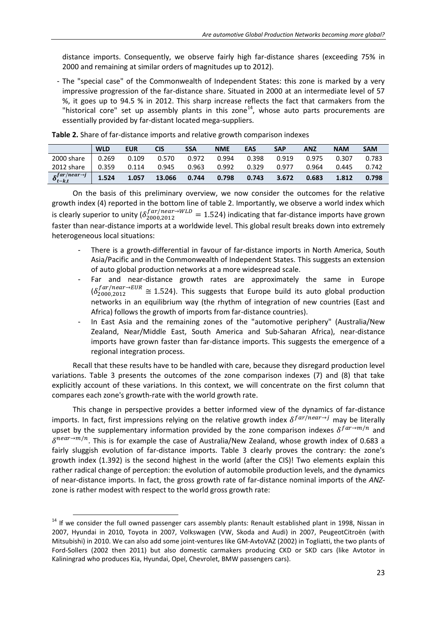distance imports. Consequently, we observe fairly high far-distance shares (exceeding 75% in 2000 and remaining at similar orders of magnitudes up to 2012).

- The "special case" of the Commonwealth of Independent States: this zone is marked by a very impressive progression of the far-distance share. Situated in 2000 at an intermediate level of 57 %, it goes up to 94.5 % in 2012. This sharp increase reflects the fact that carmakers from the "historical core" set up assembly plants in this zone<sup>14</sup>, whose auto parts procurements are essentially provided by far-distant located mega-suppliers.

|                                          | <b>WLD</b> | <b>EUR</b> | CIS    | SSA   | <b>NME</b> | <b>EAS</b> | <b>SAP</b> | ANZ   | <b>NAM</b> | <b>SAM</b> |
|------------------------------------------|------------|------------|--------|-------|------------|------------|------------|-------|------------|------------|
| 2000 share                               | 0.269      | 0.109      | 0.570  | 0.972 | 0.994      | 0.398      | 0.919      | 0.975 | 0.307      | 0.783      |
| 2012 share                               | 0.359      | 0.114      | 0.945  | 0.963 | 0.992      | 0.329      | 0.977      | 0.964 | 0.445      | 0.742      |
| $\delta_{t-k,t}^{far/near\rightarrow j}$ | 1.524      | 1.057      | 13.066 | 0.744 | 0.798      | 0.743      | 3.672      | 0.683 | 1.812      | 0.798      |

**Table 2.** Share of far-distance imports and relative growth comparison indexes

On the basis of this preliminary overview, we now consider the outcomes for the relative growth index (4) reported in the bottom line of table 2. Importantly, we observe a world index which is clearly superior to unity ( $\delta_{2000,2012}^{far/near \to WLD} = 1.524$ ) indicating that far-distance imports have grown faster than near-distance imports at a worldwide level. This global result breaks down into extremely heterogeneous local situations:

- There is a growth-differential in favour of far-distance imports in North America, South Asia/Pacific and in the Commonwealth of Independent States. This suggests an extension of auto global production networks at a more widespread scale.
- Far and near-distance growth rates are approximately the same in Europe  $(\delta_{2000,2012}^{far/near \rightarrow EUR} \cong 1.524)$ . This suggests that Europe build its auto global production networks in an equilibrium way (the rhythm of integration of new countries (East and Africa) follows the growth of imports from far-distance countries).
- In East Asia and the remaining zones of the "automotive periphery" (Australia/New Zealand, Near/Middle East, South America and Sub-Saharan Africa), near-distance imports have grown faster than far-distance imports. This suggests the emergence of a regional integration process.

Recall that these results have to be handled with care, because they disregard production level variations. Table 3 presents the outcomes of the zone comparison indexes (7) and (8) that take explicitly account of these variations. In this context, we will concentrate on the first column that compares each zone's growth-rate with the world growth rate.

This change in perspective provides a better informed view of the dynamics of far-distance imports. In fact, first impressions relying on the relative growth index  $\delta^{far/near\rightarrow j}$  may be literally upset by the supplementary information provided by the zone comparison indexes  $\delta^{far \rightarrow m/n}$  and  $\delta^{near \rightarrow m/n}$ . This is for example the case of Australia/New Zealand, whose growth index of 0.683 a fairly sluggish evolution of far-distance imports. Table 3 clearly proves the contrary: the zone's growth index (1.392) is the second highest in the world (after the CIS)! Two elements explain this rather radical change of perception: the evolution of automobile production levels, and the dynamics of near-distance imports. In fact, the gross growth rate of far-distance nominal imports of the *ANZ*zone is rather modest with respect to the world gross growth rate:

 $14$  If we consider the full owned passenger cars assembly plants: Renault established plant in 1998, Nissan in 2007, Hyundai in 2010, Toyota in 2007, Volkswagen (VW, Skoda and Audi) in 2007, PeugeotCitroën (with Mitsubishi) in 2010. We can also add some joint-ventures like GM-AvtoVAZ (2002) in Togliatti, the two plants of Ford-Sollers (2002 then 2011) but also domestic carmakers producing CKD or SKD cars (like Avtotor in Kaliningrad who produces Kia, Hyundai, Opel, Chevrolet, BMW passengers cars).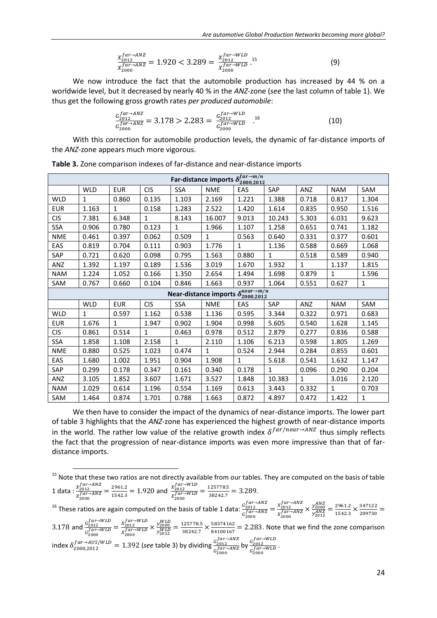$$
\frac{X_{2012}^{far \to ANZ}}{X_{2000}^{far \to ANZ}} = 1.920 < 3.289 = \frac{X_{2012}^{far \to WLD}}{X_{2000}^{far \to WLD}}.^{15} \tag{9}
$$

We now introduce the fact that the automobile production has increased by 44 % on a worldwide level, but it decreased by nearly 40 % in the *ANZ*-zone (*see* the last column of table 1). We thus get the following gross growth rates *per produced automobile*:

$$
\frac{G_{2012}^{far \to ANZ}}{G_{2000}^{far \to ANZ}} = 3.178 > 2.283 = \frac{G_{2012}^{far \to WLD}}{G_{2000}^{far \to WLD}} \quad .^{16}
$$
\n(10)

With this correction for automobile production levels, the dynamic of far-distance imports of the *ANZ*-zone appears much more vigorous.

| Far-distance imports $\delta_{2000,2012}^{far \rightarrow m/n}$   |            |              |              |              |              |              |              |             |              |              |  |
|-------------------------------------------------------------------|------------|--------------|--------------|--------------|--------------|--------------|--------------|-------------|--------------|--------------|--|
|                                                                   | <b>WLD</b> | <b>EUR</b>   | <b>CIS</b>   | <b>SSA</b>   | <b>NME</b>   | EAS          | SAP          | ANZ         | <b>NAM</b>   | <b>SAM</b>   |  |
| <b>WLD</b>                                                        | 1          | 0.860        | 0.135        | 1.103        | 2.169        | 1.221        | 1.388        | 0.718       | 0.817        | 1.304        |  |
| <b>EUR</b>                                                        | 1.163      | $\mathbf{1}$ | 0.158        | 1.283        | 2.522        | 1.420        | 1.614        | 0.835       | 0.950        | 1.516        |  |
| <b>CIS</b>                                                        | 7.381      | 6.348        | $\mathbf{1}$ | 8.143        | 16.007       | 9.013        | 10.243       | 5.303       | 6.031        | 9.623        |  |
| SSA                                                               | 0.906      | 0.780        | 0.123        | $\mathbf{1}$ | 1.966        | 1.107        | 1.258        | 0.651       | 0.741        | 1.182        |  |
| <b>NME</b>                                                        | 0.461      | 0.397        | 0.062        | 0.509        | $\mathbf{1}$ | 0.563        | 0.640        | 0.331       | 0.377        | 0.601        |  |
| EAS                                                               | 0.819      | 0.704        | 0.111        | 0.903        | 1.776        | $\mathbf{1}$ | 1.136        | 0.588       | 0.669        | 1.068        |  |
| SAP                                                               | 0.721      | 0.620        | 0.098        | 0.795        | 1.563        | 0.880        | $\mathbf{1}$ | 0.518       | 0.589        | 0.940        |  |
| ANZ                                                               | 1.392      | 1.197        | 0.189        | 1.536        | 3.019        | 1.670        | 1.932        | $\mathbf 1$ | 1.137        | 1.815        |  |
| <b>NAM</b>                                                        | 1.224      | 1.052        | 0.166        | 1.350        | 2.654        | 1.494        | 1.698        | 0.879       | $\mathbf{1}$ | 1.596        |  |
| SAM                                                               | 0.767      | 0.660        | 0.104        | 0.846        | 1.663        | 0.937        | 1.064        | 0.551       | 0.627        | $\mathbf{1}$ |  |
| Near-distance imports $\delta_{2000,2012}^{near \rightarrow m/n}$ |            |              |              |              |              |              |              |             |              |              |  |
|                                                                   | <b>WLD</b> | <b>EUR</b>   | <b>CIS</b>   | <b>SSA</b>   | <b>NME</b>   | EAS          | SAP          | ANZ         | <b>NAM</b>   | SAM          |  |
| <b>WLD</b>                                                        | 1          | 0.597        | 1.162        | 0.538        | 1.136        | 0.595        | 3.344        | 0.322       | 0.971        | 0.683        |  |
| <b>EUR</b>                                                        | 1.676      | $\mathbf{1}$ | 1.947        | 0.902        | 1.904        | 0.998        | 5.605        | 0.540       | 1.628        | 1.145        |  |
| <b>CIS</b>                                                        | 0.861      | 0.514        | $\mathbf{1}$ | 0.463        | 0.978        | 0.512        | 2.879        | 0.277       | 0.836        | 0.588        |  |
| SSA                                                               | 1.858      | 1.108        | 2.158        | $\mathbf{1}$ | 2.110        | 1.106        | 6.213        | 0.598       | 1.805        | 1.269        |  |
| <b>NME</b>                                                        | 0.880      | 0.525        | 1.023        | 0.474        | $\mathbf{1}$ | 0.524        | 2.944        | 0.284       | 0.855        | 0.601        |  |
| EAS                                                               | 1.680      | 1.002        | 1.951        | 0.904        | 1.908        | $\mathbf{1}$ | 5.618        | 0.541       | 1.632        | 1.147        |  |
| SAP                                                               | 0.299      | 0.178        | 0.347        | 0.161        | 0.340        | 0.178        | $\mathbf{1}$ | 0.096       | 0.290        | 0.204        |  |
| ANZ                                                               | 3.105      | 1.852        | 3.607        | 1.671        | 3.527        | 1.848        | 10.383       | 1           | 3.016        | 2.120        |  |
| <b>NAM</b>                                                        | 1.029      | 0.614        | 1.196        | 0.554        | 1.169        | 0.613        | 3.443        | 0.332       | $\mathbf{1}$ | 0.703        |  |
| SAM                                                               | 1.464      | 0.874        | 1.701        | 0.788        | 1.663        | 0.872        | 4.897        | 0.472       | 1.422        | 1            |  |

**Table 3.** Zone comparison indexes of far-distance and near-distance imports

We then have to consider the impact of the dynamics of near-distance imports. The lower part of table 3 highlights that the *ANZ*-zone has experienced the highest growth of near-distance imports in the world. The rather low value of the relative growth index  $\delta^{far/near \rightarrow ANZ}$  thus simply reflects the fact that the progression of near-distance imports was even more impressive than that of fardistance imports.

<sup>15</sup> Note that these two ratios are not directly available from our tables. They are computed on the basis of table  $\frac{X_2^{far \rightarrow ANZ}}{X_2^{912}} - \frac{2}{\pi}$  $\frac{ar \rightarrow WLD}{2012} - \frac{1}{2}$ 

1 data : 
$$
\frac{x_{2012}}{x_{2000}^{far \to ANZ}} = \frac{2961.2}{1542.3} = 1.920
$$
 and  $\frac{x_{2012}}{x_{2000}^{far \to WLD}} = \frac{123776.3}{38242.7} = 3.289$ .

l

<sup>16</sup> These ratios are again computed on the basis of table 1 data:  $\frac{c_s^f}{f}$  $G_2^f$  $x_2^f$  $\frac{X_{2012}^{I \text{ at } \rightarrow \text{ANZ}}}{X_{2000}^{far \rightarrow \text{ANZ}}} \times \frac{y_{20}^{A}}{y_{20}^{A}}$  $\frac{y_{2000}^{4100}}{y_{2012}^{ANZ}} = \frac{2}{1}$  $\frac{2961.2}{1542.3} \times \frac{3}{2}$  $\frac{1}{209730}$  =

3.178 and  $\frac{G_2^f}{c^f}$  $G_2^f$  $x_2^f$  $\frac{X_{2012}^{J U \rightarrow W LD}}{X_{2000}^{far \rightarrow WLD}} \times \frac{y_{20}^W}{y_{20}^W}$  $\frac{y_{2000}^{200}}{y_{2012}^{WLD}} = \frac{1}{3}$  $\frac{125778.5}{38242.7} \times \frac{5}{8}$  $\frac{36374162}{84100167} = 2.283$ . Note that we find the zone comparison index  $\delta_{2000\,2012}^{far \rightarrow AUS/WLD} = 1.392$  (see table 3) by dividing  $\frac{G_2^f}{f}$ 

 $rac{G_{2012}^{far \rightarrow ANZ}}{G_{2000}^{far \rightarrow ANZ}}$  by  $rac{G_2^f}{G_2^f}$  $\frac{G_{2012}}{G_{2000}^{far \rightarrow WLD}}$ .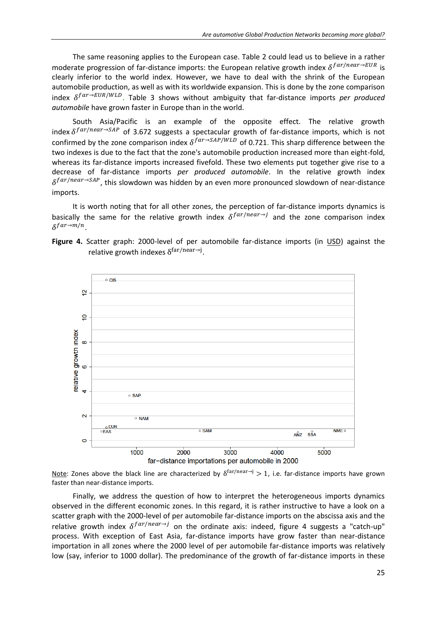The same reasoning applies to the European case. Table 2 could lead us to believe in a rather moderate progression of far-distance imports: the European relative growth index  $\delta^{far/near \rightarrow EUR}$  is clearly inferior to the world index. However, we have to deal with the shrink of the European automobile production, as well as with its worldwide expansion. This is done by the zone comparison index  $\delta^{far \rightarrow EUR/WLD}$ . Table 3 shows without ambiguity that far-distance imports *per produced automobile* have grown faster in Europe than in the world.

South Asia/Pacific is an example of the opposite effect. The relative growth index  $\delta^{far/near \rightarrow SAP}$  of 3.672 suggests a spectacular growth of far-distance imports, which is not confirmed by the zone comparison index  $\delta^{far \rightarrow SAP/WLD}$  of 0.721. This sharp difference between the two indexes is due to the fact that the zone's automobile production increased more than eight-fold, whereas its far-distance imports increased fivefold. These two elements put together give rise to a decrease of far-distance imports *per produced automobile*. In the relative growth index  $\delta^{far/near \rightarrow SAP}$ , this slowdown was hidden by an even more pronounced slowdown of near-distance imports.

It is worth noting that for all other zones, the perception of far-distance imports dynamics is basically the same for the relative growth index  $\delta^{far/near\rightarrow j}$  and the zone comparison index  $\delta^{far \rightarrow m/n}$ .

**Figure 4.** Scatter graph: 2000-level of per automobile far-distance imports (in USD) against the relative growth indexes  $\delta^{\text{tar/near}\rightarrow j}$ .



Note: Zones above the black line are characterized by  $\delta^{\text{far/near}\rightarrow}$   $>$  1, i.e. far-distance imports have grown faster than near-distance imports.

Finally, we address the question of how to interpret the heterogeneous imports dynamics observed in the different economic zones. In this regard, it is rather instructive to have a look on a scatter graph with the 2000-level of per automobile far-distance imports on the abscissa axis and the relative growth index  $\delta^{far/near\rightarrow j}$  on the ordinate axis: indeed, figure 4 suggests a "catch-up" process. With exception of East Asia, far-distance imports have grow faster than near-distance importation in all zones where the 2000 level of per automobile far-distance imports was relatively low (say, inferior to 1000 dollar). The predominance of the growth of far-distance imports in these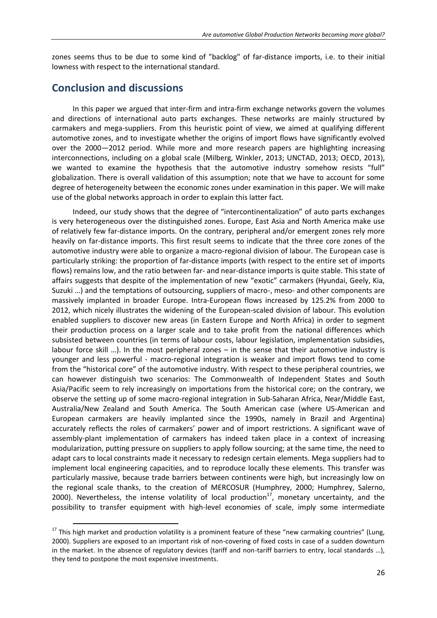zones seems thus to be due to some kind of "backlog" of far-distance imports, i.e. to their initial lowness with respect to the international standard.

# **Conclusion and discussions**

l

In this paper we argued that inter-firm and intra-firm exchange networks govern the volumes and directions of international auto parts exchanges. These networks are mainly structured by carmakers and mega-suppliers. From this heuristic point of view, we aimed at qualifying different automotive zones, and to investigate whether the origins of import flows have significantly evolved over the 2000—2012 period. While more and more research papers are highlighting increasing interconnections, including on a global scale (Milberg, Winkler, 2013; UNCTAD, 2013; OECD, 2013), we wanted to examine the hypothesis that the automotive industry somehow resists "full" globalization. There is overall validation of this assumption; note that we have to account for some degree of heterogeneity between the economic zones under examination in this paper. We will make use of the global networks approach in order to explain this latter fact.

Indeed, our study shows that the degree of "intercontinentalization" of auto parts exchanges is very heterogeneous over the distinguished zones. Europe, East Asia and North America make use of relatively few far-distance imports. On the contrary, peripheral and/or emergent zones rely more heavily on far-distance imports. This first result seems to indicate that the three core zones of the automotive industry were able to organize a macro-regional division of labour. The European case is particularly striking: the proportion of far-distance imports (with respect to the entire set of imports flows) remains low, and the ratio between far- and near-distance imports is quite stable. This state of affairs suggests that despite of the implementation of new "exotic" carmakers (Hyundai, Geely, Kia, Suzuki …) and the temptations of outsourcing, suppliers of macro-, meso- and other components are massively implanted in broader Europe. Intra-European flows increased by 125.2% from 2000 to 2012, which nicely illustrates the widening of the European-scaled division of labour. This evolution enabled suppliers to discover new areas (in Eastern Europe and North Africa) in order to segment their production process on a larger scale and to take profit from the national differences which subsisted between countries (in terms of labour costs, labour legislation, implementation subsidies, labour force skill …). In the most peripheral zones – in the sense that their automotive industry is younger and less powerful - macro-regional integration is weaker and import flows tend to come from the "historical core" of the automotive industry. With respect to these peripheral countries, we can however distinguish two scenarios: The Commonwealth of Independent States and South Asia/Pacific seem to rely increasingly on importations from the historical core; on the contrary, we observe the setting up of some macro-regional integration in Sub-Saharan Africa, Near/Middle East, Australia/New Zealand and South America. The South American case (where US-American and European carmakers are heavily implanted since the 1990s, namely in Brazil and Argentina) accurately reflects the roles of carmakers' power and of import restrictions. A significant wave of assembly-plant implementation of carmakers has indeed taken place in a context of increasing modularization, putting pressure on suppliers to apply follow sourcing; at the same time, the need to adapt cars to local constraints made it necessary to redesign certain elements. Mega suppliers had to implement local engineering capacities, and to reproduce locally these elements. This transfer was particularly massive, because trade barriers between continents were high, but increasingly low on the regional scale thanks, to the creation of MERCOSUR (Humphrey, 2000; Humphrey, Salerno, 2000). Nevertheless, the intense volatility of local production<sup>17</sup>, monetary uncertainty, and the possibility to transfer equipment with high-level economies of scale, imply some intermediate

 $17$  This high market and production volatility is a prominent feature of these "new carmaking countries" (Lung, 2000). Suppliers are exposed to an important risk of non-covering of fixed costs in case of a sudden downturn in the market. In the absence of regulatory devices (tariff and non-tariff barriers to entry, local standards …), they tend to postpone the most expensive investments.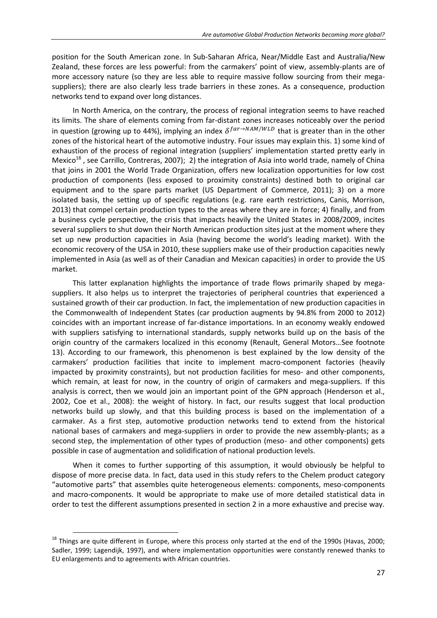position for the South American zone. In Sub-Saharan Africa, Near/Middle East and Australia/New Zealand, these forces are less powerful: from the carmakers' point of view, assembly-plants are of more accessory nature (so they are less able to require massive follow sourcing from their megasuppliers); there are also clearly less trade barriers in these zones. As a consequence, production networks tend to expand over long distances.

In North America, on the contrary, the process of regional integration seems to have reached its limits. The share of elements coming from far-distant zones increases noticeably over the period in question (growing up to 44%), implying an index  $\delta^{far \to NAM/WLD}$  that is greater than in the other zones of the historical heart of the automotive industry. Four issues may explain this. 1) some kind of exhaustion of the process of regional integration (suppliers' implementation started pretty early in Mexico<sup>18</sup>, see Carrillo, Contreras, 2007); 2) the integration of Asia into world trade, namely of China that joins in 2001 the World Trade Organization, offers new localization opportunities for low cost production of components (less exposed to proximity constraints) destined both to original car equipment and to the spare parts market (US Department of Commerce, 2011); 3) on a more isolated basis, the setting up of specific regulations (e.g. rare earth restrictions, Canis, Morrison, 2013) that compel certain production types to the areas where they are in force; 4) finally, and from a business cycle perspective, the crisis that impacts heavily the United States in 2008/2009, incites several suppliers to shut down their North American production sites just at the moment where they set up new production capacities in Asia (having become the world's leading market). With the economic recovery of the USA in 2010, these suppliers make use of their production capacities newly implemented in Asia (as well as of their Canadian and Mexican capacities) in order to provide the US market.

This latter explanation highlights the importance of trade flows primarily shaped by megasuppliers. It also helps us to interpret the trajectories of peripheral countries that experienced a sustained growth of their car production. In fact, the implementation of new production capacities in the Commonwealth of Independent States (car production augments by 94.8% from 2000 to 2012) coincides with an important increase of far-distance importations. In an economy weakly endowed with suppliers satisfying to international standards, supply networks build up on the basis of the origin country of the carmakers localized in this economy (Renault, General Motors…See footnote 13). According to our framework, this phenomenon is best explained by the low density of the carmakers' production facilities that incite to implement macro-component factories (heavily impacted by proximity constraints), but not production facilities for meso- and other components, which remain, at least for now, in the country of origin of carmakers and mega-suppliers. If this analysis is correct, then we would join an important point of the GPN approach (Henderson et al., 2002, Coe et al., 2008): the weight of history. In fact, our results suggest that local production networks build up slowly, and that this building process is based on the implementation of a carmaker. As a first step, automotive production networks tend to extend from the historical national bases of carmakers and mega-suppliers in order to provide the new assembly-plants; as a second step, the implementation of other types of production (meso- and other components) gets possible in case of augmentation and solidification of national production levels.

When it comes to further supporting of this assumption, it would obviously be helpful to dispose of more precise data. In fact, data used in this study refers to the Chelem product category "automotive parts" that assembles quite heterogeneous elements: components, meso-components and macro-components. It would be appropriate to make use of more detailed statistical data in order to test the different assumptions presented in section 2 in a more exhaustive and precise way.

 $18$  Things are quite different in Europe, where this process only started at the end of the 1990s (Havas, 2000; Sadler, 1999; Lagendijk, 1997), and where implementation opportunities were constantly renewed thanks to EU enlargements and to agreements with African countries.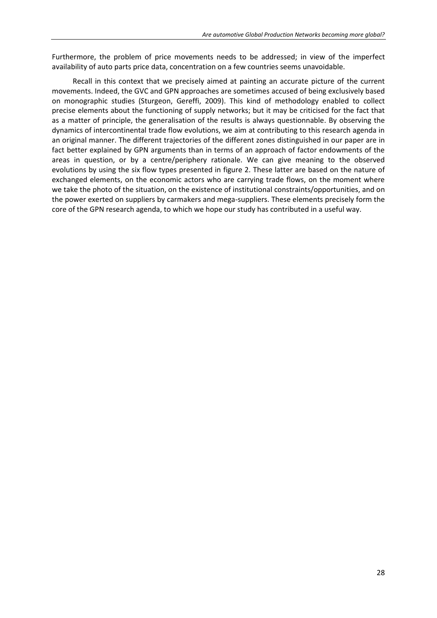Furthermore, the problem of price movements needs to be addressed; in view of the imperfect availability of auto parts price data, concentration on a few countries seems unavoidable.

Recall in this context that we precisely aimed at painting an accurate picture of the current movements. Indeed, the GVC and GPN approaches are sometimes accused of being exclusively based on monographic studies (Sturgeon, Gereffi, 2009). This kind of methodology enabled to collect precise elements about the functioning of supply networks; but it may be criticised for the fact that as a matter of principle, the generalisation of the results is always questionnable. By observing the dynamics of intercontinental trade flow evolutions, we aim at contributing to this research agenda in an original manner. The different trajectories of the different zones distinguished in our paper are in fact better explained by GPN arguments than in terms of an approach of factor endowments of the areas in question, or by a centre/periphery rationale. We can give meaning to the observed evolutions by using the six flow types presented in figure 2. These latter are based on the nature of exchanged elements, on the economic actors who are carrying trade flows, on the moment where we take the photo of the situation, on the existence of institutional constraints/opportunities, and on the power exerted on suppliers by carmakers and mega-suppliers. These elements precisely form the core of the GPN research agenda, to which we hope our study has contributed in a useful way.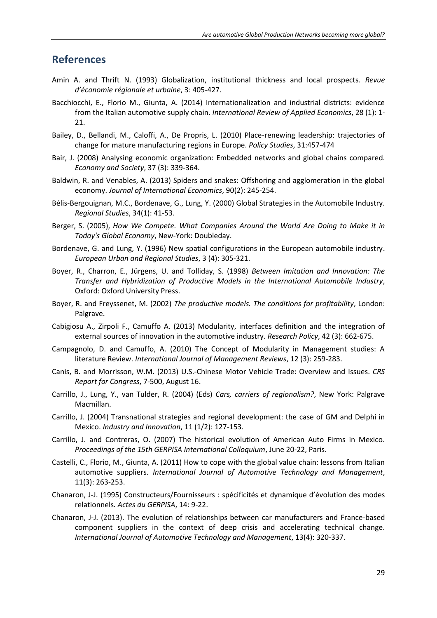# **References**

- Amin A. and Thrift N. (1993) Globalization, institutional thickness and local prospects. *Revue d'économie régionale et urbaine*, 3: 405-427.
- Bacchiocchi, E., Florio M., Giunta, A. (2014) Internationalization and industrial districts: evidence from the Italian automotive supply chain. *International Review of Applied Economics*, 28 (1): 1- 21.
- Bailey, D., Bellandi, M., Caloffi, A., De Propris, L. (2010) Place-renewing leadership: trajectories of change for mature manufacturing regions in Europe. *Policy Studies*, 31:457-474
- Bair, J. (2008) Analysing economic organization: Embedded networks and global chains compared. *Economy and Society*, 37 (3): 339-364.
- Baldwin, R. and Venables, A. (2013) Spiders and snakes: Offshoring and agglomeration in the global economy. *Journal of International Economics*, 90(2): 245-254.
- Bélis-Bergouignan, M.C., Bordenave, G., Lung, Y. (2000) Global Strategies in the Automobile Industry. *Regional Studies*, 34(1): 41-53.
- Berger, S. (2005), *How We Compete. What Companies Around the World Are Doing to Make it in Today's Global Economy*, New-York: Doubleday.
- Bordenave, G. and Lung, Y. (1996) New spatial configurations in the European automobile industry. *European Urban and Regional Studies*, 3 (4): 305-321.
- Boyer, R., Charron, E., Jürgens, U. and Tolliday, S. (1998) *Between Imitation and Innovation: The Transfer and Hybridization of Productive Models in the International Automobile Industry*, Oxford: Oxford University Press.
- Boyer, R. and Freyssenet, M. (2002) *The productive models. The conditions for profitability*, London: Palgrave.
- Cabigiosu A., Zirpoli F., Camuffo A. (2013) Modularity, interfaces definition and the integration of external sources of innovation in the automotive industry. *Research Policy*, 42 (3): 662-675.
- Campagnolo, D. and Camuffo, A. (2010) The Concept of Modularity in Management studies: A literature Review. *International Journal of Management Reviews*, 12 (3): 259-283.
- Canis, B. and Morrisson, W.M. (2013) U.S.-Chinese Motor Vehicle Trade: Overview and Issues. *CRS Report for Congress*, 7-500, August 16.
- Carrillo, J., Lung, Y., van Tulder, R. (2004) (Eds) *Cars, carriers of regionalism?*, New York: Palgrave Macmillan.
- Carrillo, J. (2004) Transnational strategies and regional development: the case of GM and Delphi in Mexico. *Industry and Innovation*, 11 (1/2): 127-153.
- Carrillo, J. and Contreras, O. (2007) The historical evolution of American Auto Firms in Mexico. *Proceedings of the 15th GERPISA International Colloquium*, June 20-22, Paris.
- Castelli, C., Florio, M., Giunta, A. (2011) How to cope with the global value chain: lessons from Italian automotive suppliers. *International Journal of Automotive Technology and Management*, 11(3): 263-253.
- Chanaron, J-J. (1995) Constructeurs/Fournisseurs : spécificités et dynamique d'évolution des modes relationnels*. Actes du GERPISA*, 14: 9-22.
- Chanaron, J-J. (2013). The evolution of relationships between car manufacturers and France-based component suppliers in the context of deep crisis and accelerating technical change. *International Journal of Automotive Technology and Management*, 13(4): 320-337.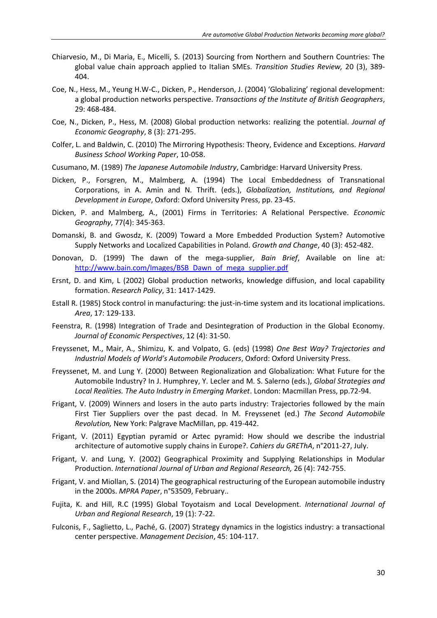- Chiarvesio, M., Di Maria, E., Micelli, S. (2013) Sourcing from Northern and Southern Countries: The global value chain approach applied to Italian SMEs. *Transition Studies Review,* 20 (3), 389- 404.
- Coe, N., Hess, M., Yeung H.W-C., Dicken, P., Henderson, J. (2004) 'Globalizing' regional development: a global production networks perspective. *Transactions of the Institute of British Geographers*, 29: 468-484.
- Coe, N., Dicken, P., Hess, M. (2008) Global production networks: realizing the potential. *Journal of Economic Geography*, 8 (3): 271-295.
- Colfer, L. and Baldwin, C. (2010) The Mirroring Hypothesis: Theory, Evidence and Exceptions. *Harvard Business School Working Paper*, 10-058.
- Cusumano, M. (1989) *The Japanese Automobile Industry*, Cambridge: Harvard University Press.
- Dicken, P., Forsgren, M., Malmberg, A. (1994) The Local Embeddedness of Transnational Corporations, in A. Amin and N. Thrift. (eds.), *Globalization, Institutions, and Regional Development in Europe*, Oxford: Oxford University Press, pp. 23-45.
- Dicken, P. and Malmberg, A., (2001) Firms in Territories: A Relational Perspective. *Economic Geography*, 77(4): 345-363.
- Domanski, B. and Gwosdz, K. (2009) Toward a More Embedded Production System? Automotive Supply Networks and Localized Capabilities in Poland. *Growth and Change*, 40 (3): 452-482.
- Donovan, D. (1999) The dawn of the mega-supplier, *Bain Brief*, Available on line at: [http://www.bain.com/Images/BSB\\_Dawn\\_of\\_mega\\_supplier.pdf](http://www.bain.com/Images/BSB_Dawn_of_mega_supplier.pdf)
- Ersnt, D. and Kim, L (2002) Global production networks, knowledge diffusion, and local capability formation. *Research Policy*, 31: 1417-1429.
- Estall R. (1985) Stock control in manufacturing: the just-in-time system and its locational implications. *Area*, 17: 129-133.
- Feenstra, R. (1998) Integration of Trade and Desintegration of Production in the Global Economy. *Journal of Economic Perspectives*, 12 (4): 31-50.
- Freyssenet, M., Mair, A., Shimizu, K. and Volpato, G. (eds) (1998) *One Best Way? Trajectories and Industrial Models of World's Automobile Producers*, Oxford: Oxford University Press.
- Freyssenet, M. and Lung Y. (2000) Between Regionalization and Globalization: What Future for the Automobile Industry? In J. Humphrey, Y. Lecler and M. S. Salerno (eds.), *Global Strategies and Local Realities. The Auto Industry in Emerging Market*. London: Macmillan Press, pp.72-94.
- Frigant, V. (2009) Winners and losers in the auto parts industry: Trajectories followed by the main First Tier Suppliers over the past decad. In M. Freyssenet (ed.) *The Second Automobile Revolution,* New York: Palgrave MacMillan, pp. 419-442.
- Frigant, V. (2011) Egyptian pyramid or Aztec pyramid: How should we describe the industrial architecture of automotive supply chains in Europe?. *Cahiers du GREThA*, n°2011-27, July.
- Frigant, V. and Lung, Y. (2002) Geographical Proximity and Supplying Relationships in Modular Production. *International Journal of Urban and Regional Research,* 26 (4): 742-755.
- Frigant, V. and Miollan, S. (2014) The geographical restructuring of the European automobile industry in the 2000s. *MPRA Paper*, n°53509, February..
- Fujita, K. and Hill, R.C (1995) Global Toyotaism and Local Development. *International Journal of Urban and Regional Research*, 19 (1): 7-22.
- Fulconis, F., Saglietto, L., Paché, G. (2007) Strategy dynamics in the logistics industry: a transactional center perspective. *Management Decision*, 45: 104-117.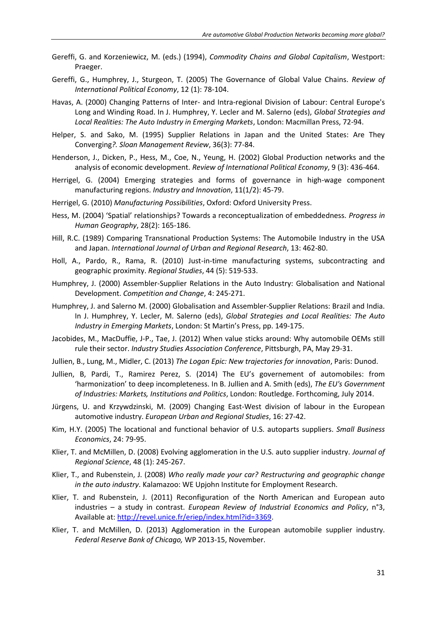- Gereffi, G. and Korzeniewicz, M. (eds.) (1994), *Commodity Chains and Global Capitalism*, Westport: Praeger.
- Gereffi, G., Humphrey, J., Sturgeon, T. (2005) The Governance of Global Value Chains. *Review of International Political Economy*, 12 (1): 78-104.
- Havas, A. (2000) Changing Patterns of Inter- and Intra-regional Division of Labour: Central Europe's Long and Winding Road. In J. Humphrey, Y. Lecler and M. Salerno (eds), *Global Strategies and Local Realities: The Auto Industry in Emerging Markets*, London: Macmillan Press, 72-94.
- Helper, S. and Sako, M. (1995) Supplier Relations in Japan and the United States: Are They Converging*?. Sloan Management Review*, 36(3): 77-84.
- Henderson, J., Dicken, P., Hess, M., Coe, N., Yeung, H. (2002) Global Production networks and the analysis of economic development. *Review of International Political Economy*, 9 (3): 436-464.
- Herrigel, G. (2004) Emerging strategies and forms of governance in high-wage component manufacturing regions. *Industry and Innovation*, 11(1/2): 45-79.
- Herrigel, G. (2010) *Manufacturing Possibilities*, Oxford: Oxford University Press.
- Hess, M. (2004) 'Spatial' relationships? Towards a reconceptualization of embeddedness*. Progress in Human Geography*, 28(2): 165-186.
- Hill, R.C. (1989) Comparing Transnational Production Systems: The Automobile Industry in the USA and Japan. *International Journal of Urban and Regional Research*, 13: 462-80.
- Holl, A., Pardo, R., Rama, R. (2010) Just-in-time manufacturing systems, subcontracting and geographic proximity. *Regional Studies*, 44 (5): 519-533.
- Humphrey, J. (2000) Assembler-Supplier Relations in the Auto Industry: Globalisation and National Development. *Competition and Change*, 4: 245-271.
- Humphrey, J. and Salerno M. (2000) Globalisation and Assembler-Supplier Relations: Brazil and India. In J. Humphrey, Y. Lecler, M. Salerno (eds), *Global Strategies and Local Realities: The Auto Industry in Emerging Markets*, London: St Martin's Press, pp. 149-175.
- Jacobides, M., MacDuffie, J-P., Tae, J. (2012) When value sticks around: Why automobile OEMs still rule their sector. *Industry Studies Association Conference*, Pittsburgh, PA, May 29-31.
- Jullien, B., Lung, M., Midler, C. (2013) *The Logan Epic: New trajectories for innovation*, Paris: Dunod.
- Jullien, B, Pardi, T., Ramirez Perez, S. (2014) The EU's governement of automobiles: from 'harmonization' to deep incompleteness. In B. Jullien and A. Smith (eds), *The EU's Government of Industries: Markets, Institutions and Politics*, London: Routledge. Forthcoming, July 2014.
- Jürgens, U. and Krzywdzinski, M. (2009) Changing East-West division of labour in the European automotive industry. *European Urban and Regional Studies*, 16: 27-42.
- Kim, H.Y. (2005) The locational and functional behavior of U.S. autoparts suppliers. *Small Business Economics*, 24: 79-95.
- Klier, T. and McMillen, D. (2008) Evolving agglomeration in the U.S. auto supplier industry. *Journal of Regional Science*, 48 (1): 245-267.
- Klier, T., and Rubenstein, J. (2008) *Who really made your car? Restructuring and geographic change in the auto industry*. Kalamazoo: WE Upjohn Institute for Employment Research.
- Klier, T. and Rubenstein, J. (2011) Reconfiguration of the North American and European auto industries – a study in contrast. *European Review of Industrial Economics and Policy*, n°3, Available at[: http://revel.unice.fr/eriep/index.html?id=3369.](http://revel.unice.fr/eriep/index.html?id=3369)
- Klier, T. and McMillen, D. (2013) Agglomeration in the European automobile supplier industry. *Federal Reserve Bank of Chicago,* WP 2013-15, November.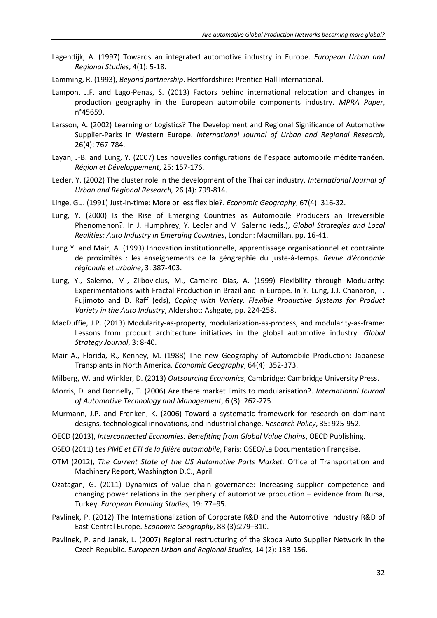- Lagendijk, A. (1997) Towards an integrated automotive industry in Europe. *European Urban and Regional Studies*, 4(1): 5-18.
- Lamming, R. (1993), *Beyond partnership*. Hertfordshire: Prentice Hall International.
- Lampon, J.F. and Lago-Penas, S. (2013) Factors behind international relocation and changes in production geography in the European automobile components industry. *MPRA Paper*, n°45659.
- Larsson, A. (2002) Learning or Logistics? The Development and Regional Significance of Automotive Supplier-Parks in Western Europe. *International Journal of Urban and Regional Research*, 26(4): 767-784.
- Layan, J-B. and Lung, Y. (2007) Les nouvelles configurations de l'espace automobile méditerranéen. *Région et Développement*, 25: 157-176.
- Lecler, Y. (2002) The cluster role in the development of the Thai car industry. *International Journal of Urban and Regional Research,* 26 (4): 799-814.
- Linge, G.J. (1991) Just-in-time: More or less flexible?. *Economic Geography*, 67(4): 316-32.
- Lung, Y. (2000) Is the Rise of Emerging Countries as Automobile Producers an Irreversible Phenomenon?. In J. Humphrey, Y. Lecler and M. Salerno (eds.), *Global Strategies and Local Realities: Auto Industry in Emerging Countries*, London: Macmillan, pp. 16-41.
- Lung Y. and Mair, A. (1993) Innovation institutionnelle, apprentissage organisationnel et contrainte de proximités : les enseignements de la géographie du juste-à-temps. *Revue d'économie régionale et urbaine*, 3: 387-403.
- Lung, Y., Salerno, M., Zilbovicius, M., Carneiro Dias, A. (1999) Flexibility through Modularity: Experimentations with Fractal Production in Brazil and in Europe. In Y. Lung, J.J. Chanaron, T. Fujimoto and D. Raff (eds), *Coping with Variety. Flexible Productive Systems for Product Variety in the Auto Industry*, Aldershot: Ashgate, pp. 224-258.
- MacDuffie, J.P. (2013) Modularity-as-property, modularization-as-process, and modularity-as-frame: Lessons from product architecture initiatives in the global automotive industry. *Global Strategy Journal*, 3: 8-40.
- Mair A., Florida, R., Kenney, M. (1988) The new Geography of Automobile Production: Japanese Transplants in North America. *Economic Geography*, 64(4): 352-373.
- Milberg, W. and Winkler, D. (2013) *Outsourcing Economics*, Cambridge: Cambridge University Press.
- Morris, D. and Donnelly, T. (2006) Are there market limits to modularisation?. *International Journal of Automotive Technology and Management*, 6 (3): 262-275.
- Murmann, J.P. and Frenken, K. (2006) Toward a systematic framework for research on dominant designs, technological innovations, and industrial change. *Research Policy*, 35: 925-952.
- OECD (2013), *Interconnected Economies: Benefiting from Global Value Chains*, OECD Publishing.
- OSEO (2011) *Les PME et ETI de la filière automobile*, Paris: OSEO/La Documentation Française.
- OTM (2012), *The Current State of the US Automotive Parts Market.* Office of Transportation and Machinery Report, Washington D.C., April.
- Ozatagan, G. (2011) Dynamics of value chain governance: Increasing supplier competence and changing power relations in the periphery of automotive production – evidence from Bursa, Turkey. *European Planning Studies,* 19: 77–95.
- Pavlinek, P. (2012) The Internationalization of Corporate R&D and the Automotive Industry R&D of East-Central Europe. *Economic Geography*, 88 (3):279–310.
- Pavlinek, P. and Janak, L. (2007) Regional restructuring of the Skoda Auto Supplier Network in the Czech Republic. *European Urban and Regional Studies,* 14 (2): 133-156.